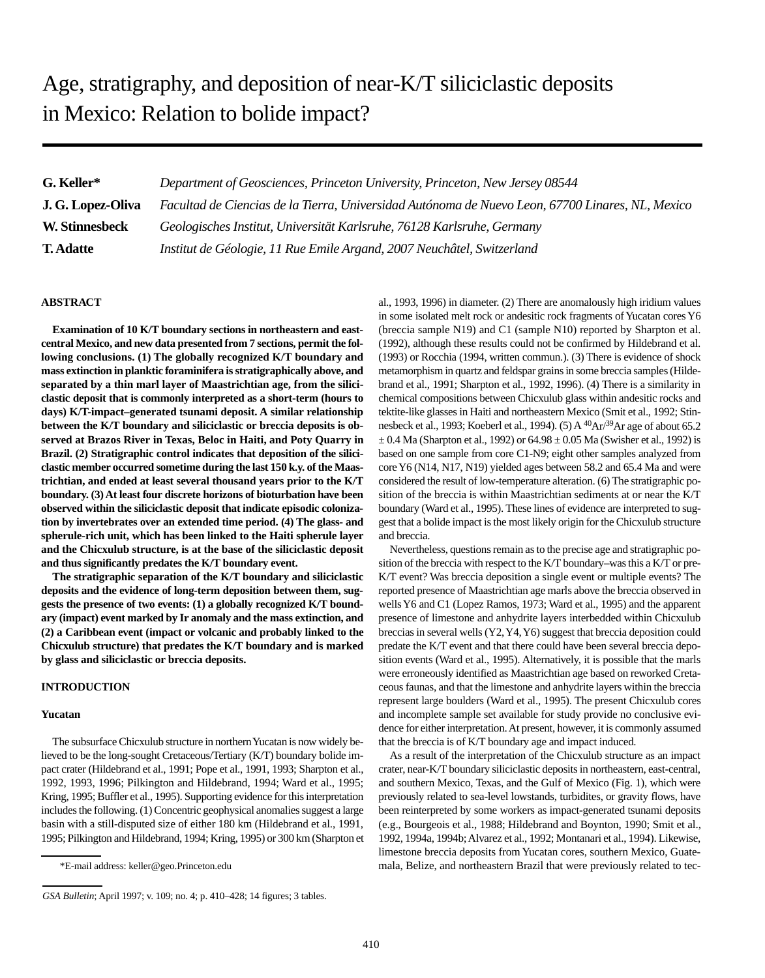# Age, stratigraphy, and deposition of near-K/T siliciclastic deposits in Mexico: Relation to bolide impact?

| G. Keller*        | Department of Geosciences, Princeton University, Princeton, New Jersey 08544                     |
|-------------------|--------------------------------------------------------------------------------------------------|
| J. G. Lopez-Oliva | Facultad de Ciencias de la Tierra, Universidad Autónoma de Nuevo Leon, 67700 Linares, NL, Mexico |
| W. Stinnesbeck    | Geologisches Institut, Universität Karlsruhe, 76128 Karlsruhe, Germany                           |
| <b>T.</b> Adatte  | Institut de Géologie, 11 Rue Emile Argand, 2007 Neuchâtel, Switzerland                           |

#### **ABSTRACT**

**Examination of 10 K/T boundary sections in northeastern and eastcentral Mexico, and new data presented from 7 sections, permit the following conclusions. (1) The globally recognized K/T boundary and mass extinction in planktic foraminifera is stratigraphically above, and separated by a thin marl layer of Maastrichtian age, from the siliciclastic deposit that is commonly interpreted as a short-term (hours to days) K/T-impact–generated tsunami deposit. A similar relationship between the K/T boundary and siliciclastic or breccia deposits is observed at Brazos River in Texas, Beloc in Haiti, and Poty Quarry in Brazil. (2) Stratigraphic control indicates that deposition of the siliciclastic member occurred sometime during the last 150 k.y. of the Maastrichtian, and ended at least several thousand years prior to the K/T boundary. (3) At least four discrete horizons of bioturbation have been observed within the siliciclastic deposit that indicate episodic colonization by invertebrates over an extended time period. (4) The glass- and spherule-rich unit, which has been linked to the Haiti spherule layer and the Chicxulub structure, is at the base of the siliciclastic deposit and thus significantly predates the K/T boundary event.**

**The stratigraphic separation of the K/T boundary and siliciclastic deposits and the evidence of long-term deposition between them, suggests the presence of two events: (1) a globally recognized K/T boundary (impact) event marked by Ir anomaly and the mass extinction, and (2) a Caribbean event (impact or volcanic and probably linked to the Chicxulub structure) that predates the K/T boundary and is marked by glass and siliciclastic or breccia deposits.**

#### **INTRODUCTION**

# **Yucatan**

The subsurface Chicxulub structure in northern Yucatan is now widely believed to be the long-sought Cretaceous/Tertiary (K/T) boundary bolide impact crater (Hildebrand et al., 1991; Pope et al., 1991, 1993; Sharpton et al., 1992, 1993, 1996; Pilkington and Hildebrand, 1994; Ward et al., 1995; Kring, 1995; Buffler et al., 1995). Supporting evidence for this interpretation includes the following. (1) Concentric geophysical anomalies suggest a large basin with a still-disputed size of either 180 km (Hildebrand et al., 1991, 1995; Pilkington and Hildebrand, 1994; Kring, 1995) or 300 km (Sharpton et

al., 1993, 1996) in diameter. (2) There are anomalously high iridium values in some isolated melt rock or andesitic rock fragments of Yucatan cores Y6 (breccia sample N19) and C1 (sample N10) reported by Sharpton et al. (1992), although these results could not be confirmed by Hildebrand et al. (1993) or Rocchia (1994, written commun.). (3) There is evidence of shock metamorphism in quartz and feldspar grains in some breccia samples (Hildebrand et al., 1991; Sharpton et al., 1992, 1996). (4) There is a similarity in chemical compositions between Chicxulub glass within andesitic rocks and tektite-like glasses in Haiti and northeastern Mexico (Smit et al., 1992; Stinnesbeck et al., 1993; Koeberl et al., 1994). (5) A  $^{40}Ar^{39}Ar$  age of about 65.2  $\pm$  0.4 Ma (Sharpton et al., 1992) or 64.98  $\pm$  0.05 Ma (Swisher et al., 1992) is based on one sample from core C1-N9; eight other samples analyzed from core Y6 (N14, N17, N19) yielded ages between 58.2 and 65.4 Ma and were considered the result of low-temperature alteration. (6) The stratigraphic position of the breccia is within Maastrichtian sediments at or near the K/T boundary (Ward et al., 1995). These lines of evidence are interpreted to suggest that a bolide impact is the most likely origin for the Chicxulub structure and breccia.

Nevertheless, questions remain as to the precise age and stratigraphic position of the breccia with respect to the K/T boundary–was this a K/T or pre-K/T event? Was breccia deposition a single event or multiple events? The reported presence of Maastrichtian age marls above the breccia observed in wells Y6 and C1 (Lopez Ramos, 1973; Ward et al., 1995) and the apparent presence of limestone and anhydrite layers interbedded within Chicxulub breccias in several wells (Y2,Y4,Y6) suggest that breccia deposition could predate the K/T event and that there could have been several breccia deposition events (Ward et al., 1995). Alternatively, it is possible that the marls were erroneously identified as Maastrichtian age based on reworked Cretaceous faunas, and that the limestone and anhydrite layers within the breccia represent large boulders (Ward et al., 1995). The present Chicxulub cores and incomplete sample set available for study provide no conclusive evidence for either interpretation. At present, however, it is commonly assumed that the breccia is of K/T boundary age and impact induced.

As a result of the interpretation of the Chicxulub structure as an impact crater, near-K/T boundary siliciclastic deposits in northeastern, east-central, and southern Mexico, Texas, and the Gulf of Mexico (Fig. 1), which were previously related to sea-level lowstands, turbidites, or gravity flows, have been reinterpreted by some workers as impact-generated tsunami deposits (e.g., Bourgeois et al., 1988; Hildebrand and Boynton, 1990; Smit et al., 1992, 1994a, 1994b; Alvarez et al., 1992; Montanari et al., 1994). Likewise, limestone breccia deposits from Yucatan cores, southern Mexico, Guatemala, Belize, and northeastern Brazil that were previously related to tec-

<sup>\*</sup>E-mail address: keller@geo.Princeton.edu

*GSA Bulletin*; April 1997; v. 109; no. 4; p. 410–428; 14 figures; 3 tables.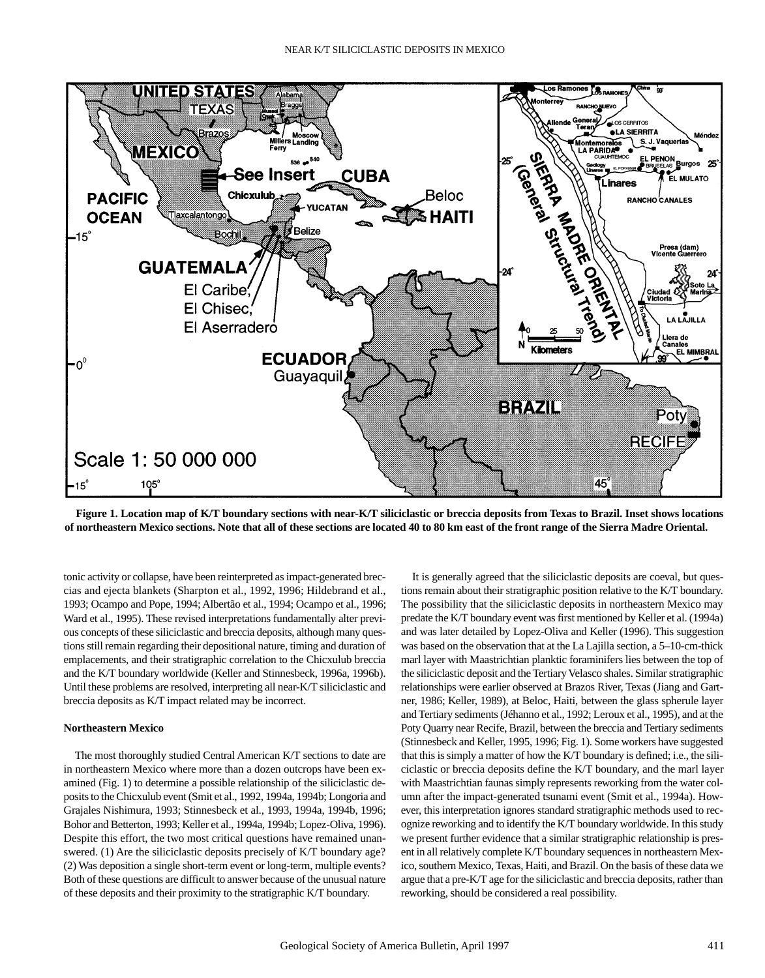

**Figure 1. Location map of K/T boundary sections with near-K/T siliciclastic or breccia deposits from Texas to Brazil. Inset shows locations of northeastern Mexico sections. Note that all of these sections are located 40 to 80 km east of the front range of the Sierra Madre Oriental.**

tonic activity or collapse, have been reinterpreted as impact-generated breccias and ejecta blankets (Sharpton et al., 1992, 1996; Hildebrand et al., 1993; Ocampo and Pope, 1994; Albertão et al., 1994; Ocampo et al., 1996; Ward et al., 1995). These revised interpretations fundamentally alter previous concepts of these siliciclastic and breccia deposits, although many questions still remain regarding their depositional nature, timing and duration of emplacements, and their stratigraphic correlation to the Chicxulub breccia and the K/T boundary worldwide (Keller and Stinnesbeck, 1996a, 1996b). Until these problems are resolved, interpreting all near-K/T siliciclastic and breccia deposits as K/T impact related may be incorrect.

# **Northeastern Mexico**

The most thoroughly studied Central American K/T sections to date are in northeastern Mexico where more than a dozen outcrops have been examined (Fig. 1) to determine a possible relationship of the siliciclastic deposits to the Chicxulub event (Smit et al., 1992, 1994a, 1994b; Longoria and Grajales Nishimura, 1993; Stinnesbeck et al., 1993, 1994a, 1994b, 1996; Bohor and Betterton, 1993; Keller et al., 1994a, 1994b; Lopez-Oliva, 1996). Despite this effort, the two most critical questions have remained unanswered. (1) Are the siliciclastic deposits precisely of K/T boundary age? (2) Was deposition a single short-term event or long-term, multiple events? Both of these questions are difficult to answer because of the unusual nature of these deposits and their proximity to the stratigraphic K/T boundary.

It is generally agreed that the siliciclastic deposits are coeval, but questions remain about their stratigraphic position relative to the K/T boundary. The possibility that the siliciclastic deposits in northeastern Mexico may predate the K/T boundary event was first mentioned by Keller et al. (1994a) and was later detailed by Lopez-Oliva and Keller (1996). This suggestion was based on the observation that at the La Lajilla section, a 5–10-cm-thick marl layer with Maastrichtian planktic foraminifers lies between the top of the siliciclastic deposit and the Tertiary Velasco shales. Similar stratigraphic relationships were earlier observed at Brazos River, Texas (Jiang and Gartner, 1986; Keller, 1989), at Beloc, Haiti, between the glass spherule layer and Tertiary sediments (Jéhanno et al., 1992; Leroux et al., 1995), and at the Poty Quarry near Recife, Brazil, between the breccia and Tertiary sediments (Stinnesbeck and Keller, 1995, 1996; Fig. 1). Some workers have suggested that this is simply a matter of how the K/T boundary is defined; i.e., the siliciclastic or breccia deposits define the K/T boundary, and the marl layer with Maastrichtian faunas simply represents reworking from the water column after the impact-generated tsunami event (Smit et al., 1994a). However, this interpretation ignores standard stratigraphic methods used to recognize reworking and to identify the K/T boundary worldwide. In this study we present further evidence that a similar stratigraphic relationship is present in all relatively complete K/T boundary sequences in northeastern Mexico, southern Mexico, Texas, Haiti, and Brazil. On the basis of these data we argue that a pre-K/T age for the siliciclastic and breccia deposits, rather than reworking, should be considered a real possibility.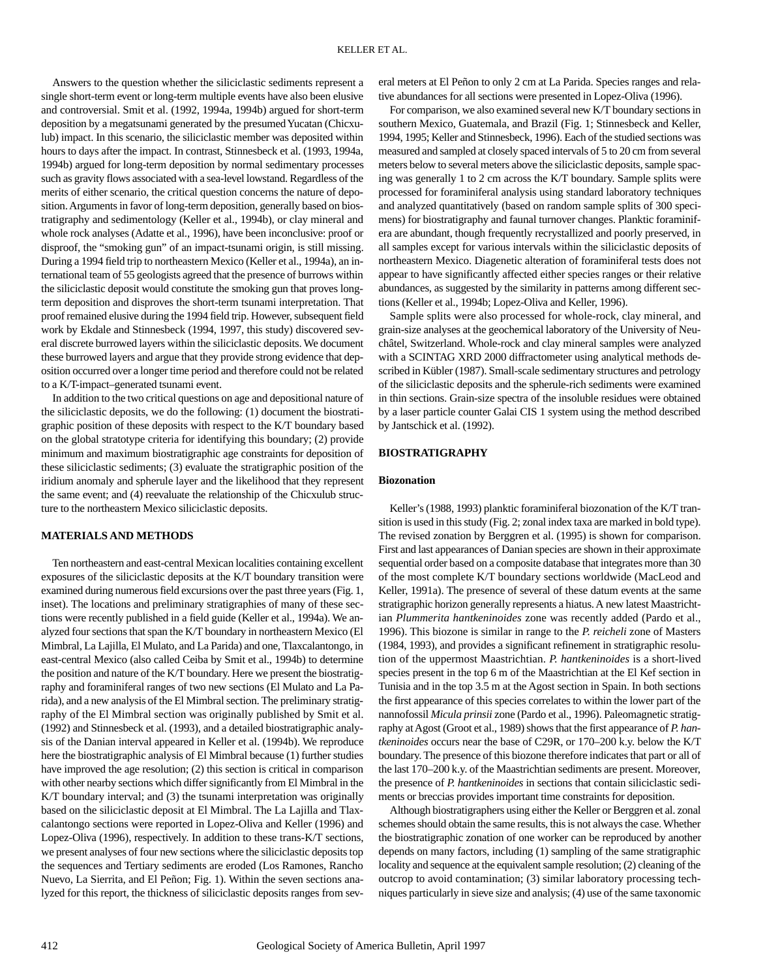Answers to the question whether the siliciclastic sediments represent a single short-term event or long-term multiple events have also been elusive and controversial. Smit et al. (1992, 1994a, 1994b) argued for short-term deposition by a megatsunami generated by the presumed Yucatan (Chicxulub) impact. In this scenario, the siliciclastic member was deposited within hours to days after the impact. In contrast, Stinnesbeck et al. (1993, 1994a, 1994b) argued for long-term deposition by normal sedimentary processes such as gravity flows associated with a sea-level lowstand. Regardless of the merits of either scenario, the critical question concerns the nature of deposition. Arguments in favor of long-term deposition, generally based on biostratigraphy and sedimentology (Keller et al., 1994b), or clay mineral and whole rock analyses (Adatte et al., 1996), have been inconclusive: proof or disproof, the "smoking gun" of an impact-tsunami origin, is still missing. During a 1994 field trip to northeastern Mexico (Keller et al., 1994a), an international team of 55 geologists agreed that the presence of burrows within the siliciclastic deposit would constitute the smoking gun that proves longterm deposition and disproves the short-term tsunami interpretation. That proof remained elusive during the 1994 field trip. However, subsequent field work by Ekdale and Stinnesbeck (1994, 1997, this study) discovered several discrete burrowed layers within the siliciclastic deposits. We document these burrowed layers and argue that they provide strong evidence that deposition occurred over a longer time period and therefore could not be related to a K/T-impact–generated tsunami event.

In addition to the two critical questions on age and depositional nature of the siliciclastic deposits, we do the following: (1) document the biostratigraphic position of these deposits with respect to the K/T boundary based on the global stratotype criteria for identifying this boundary; (2) provide minimum and maximum biostratigraphic age constraints for deposition of these siliciclastic sediments; (3) evaluate the stratigraphic position of the iridium anomaly and spherule layer and the likelihood that they represent the same event; and (4) reevaluate the relationship of the Chicxulub structure to the northeastern Mexico siliciclastic deposits.

# **MATERIALS AND METHODS**

Ten northeastern and east-central Mexican localities containing excellent exposures of the siliciclastic deposits at the K/T boundary transition were examined during numerous field excursions over the past three years (Fig. 1, inset). The locations and preliminary stratigraphies of many of these sections were recently published in a field guide (Keller et al., 1994a). We analyzed four sections that span the K/T boundary in northeastern Mexico (El Mimbral, La Lajilla, El Mulato, and La Parida) and one, Tlaxcalantongo, in east-central Mexico (also called Ceiba by Smit et al., 1994b) to determine the position and nature of the K/T boundary. Here we present the biostratigraphy and foraminiferal ranges of two new sections (El Mulato and La Parida), and a new analysis of the El Mimbral section. The preliminary stratigraphy of the El Mimbral section was originally published by Smit et al. (1992) and Stinnesbeck et al. (1993), and a detailed biostratigraphic analysis of the Danian interval appeared in Keller et al. (1994b). We reproduce here the biostratigraphic analysis of El Mimbral because (1) further studies have improved the age resolution; (2) this section is critical in comparison with other nearby sections which differ significantly from El Mimbral in the K/T boundary interval; and (3) the tsunami interpretation was originally based on the siliciclastic deposit at El Mimbral. The La Lajilla and Tlaxcalantongo sections were reported in Lopez-Oliva and Keller (1996) and Lopez-Oliva (1996), respectively. In addition to these trans-K/T sections, we present analyses of four new sections where the siliciclastic deposits top the sequences and Tertiary sediments are eroded (Los Ramones, Rancho Nuevo, La Sierrita, and El Peñon; Fig. 1). Within the seven sections analyzed for this report, the thickness of siliciclastic deposits ranges from several meters at El Peñon to only 2 cm at La Parida. Species ranges and relative abundances for all sections were presented in Lopez-Oliva (1996).

For comparison, we also examined several new K/T boundary sections in southern Mexico, Guatemala, and Brazil (Fig. 1; Stinnesbeck and Keller, 1994, 1995; Keller and Stinnesbeck, 1996). Each of the studied sections was measured and sampled at closely spaced intervals of 5 to 20 cm from several meters below to several meters above the siliciclastic deposits, sample spacing was generally 1 to 2 cm across the K/T boundary. Sample splits were processed for foraminiferal analysis using standard laboratory techniques and analyzed quantitatively (based on random sample splits of 300 specimens) for biostratigraphy and faunal turnover changes. Planktic foraminifera are abundant, though frequently recrystallized and poorly preserved, in all samples except for various intervals within the siliciclastic deposits of northeastern Mexico. Diagenetic alteration of foraminiferal tests does not appear to have significantly affected either species ranges or their relative abundances, as suggested by the similarity in patterns among different sections (Keller et al., 1994b; Lopez-Oliva and Keller, 1996).

Sample splits were also processed for whole-rock, clay mineral, and grain-size analyses at the geochemical laboratory of the University of Neuchâtel, Switzerland. Whole-rock and clay mineral samples were analyzed with a SCINTAG XRD 2000 diffractometer using analytical methods described in Kübler (1987). Small-scale sedimentary structures and petrology of the siliciclastic deposits and the spherule-rich sediments were examined in thin sections. Grain-size spectra of the insoluble residues were obtained by a laser particle counter Galai CIS 1 system using the method described by Jantschick et al. (1992).

#### **BIOSTRATIGRAPHY**

#### **Biozonation**

Keller's (1988, 1993) planktic foraminiferal biozonation of the K/T transition is used in this study (Fig. 2; zonal index taxa are marked in bold type). The revised zonation by Berggren et al. (1995) is shown for comparison. First and last appearances of Danian species are shown in their approximate sequential order based on a composite database that integrates more than 30 of the most complete K/T boundary sections worldwide (MacLeod and Keller, 1991a). The presence of several of these datum events at the same stratigraphic horizon generally represents a hiatus. A new latest Maastrichtian *Plummerita hantkeninoides* zone was recently added (Pardo et al., 1996). This biozone is similar in range to the *P. reicheli* zone of Masters (1984, 1993), and provides a significant refinement in stratigraphic resolution of the uppermost Maastrichtian. *P. hantkeninoides* is a short-lived species present in the top 6 m of the Maastrichtian at the El Kef section in Tunisia and in the top 3.5 m at the Agost section in Spain. In both sections the first appearance of this species correlates to within the lower part of the nannofossil *Micula prinsii* zone (Pardo et al., 1996). Paleomagnetic stratigraphy at Agost (Groot et al., 1989) shows that the first appearance of *P. hantkeninoides* occurs near the base of C29R, or 170–200 k.y. below the K/T boundary. The presence of this biozone therefore indicates that part or all of the last 170–200 k.y. of the Maastrichtian sediments are present. Moreover, the presence of *P. hantkeninoides* in sections that contain siliciclastic sediments or breccias provides important time constraints for deposition.

Although biostratigraphers using either the Keller or Berggren et al. zonal schemes should obtain the same results, this is not always the case. Whether the biostratigraphic zonation of one worker can be reproduced by another depends on many factors, including (1) sampling of the same stratigraphic locality and sequence at the equivalent sample resolution; (2) cleaning of the outcrop to avoid contamination; (3) similar laboratory processing techniques particularly in sieve size and analysis; (4) use of the same taxonomic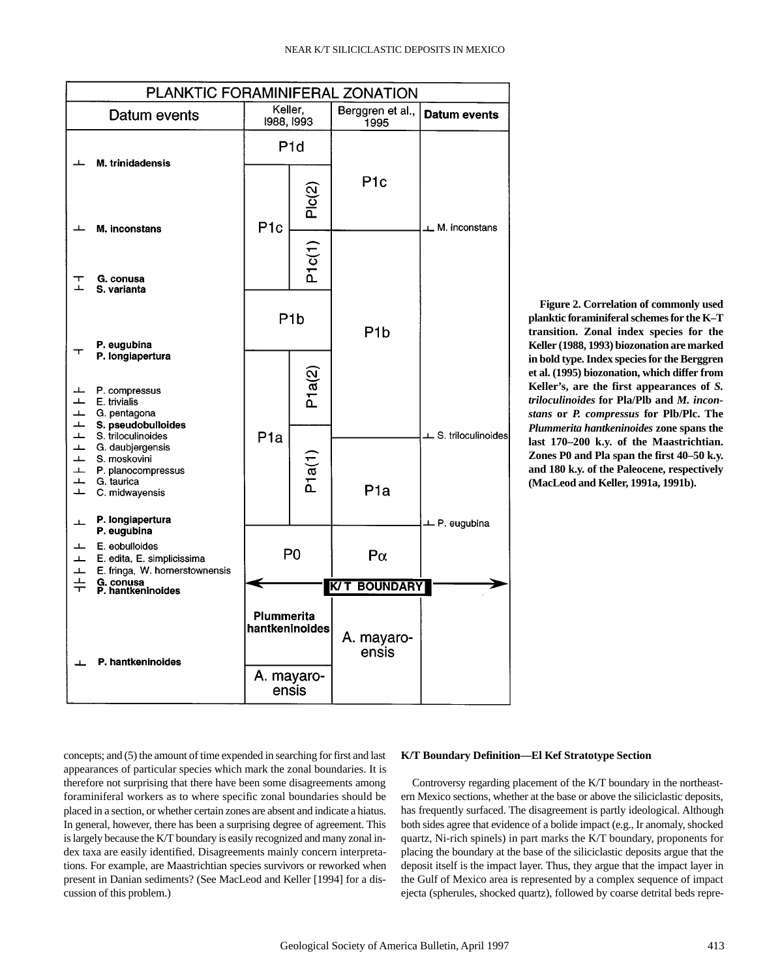| PLANKTIC FORAMINIFERAL ZONATION |                                                                                |                                                     |                    |                          |                      |
|---------------------------------|--------------------------------------------------------------------------------|-----------------------------------------------------|--------------------|--------------------------|----------------------|
| Datum events                    |                                                                                | Keller,<br>1988, 1993                               |                    | Berggren et al.,<br>1995 | <b>Datum events</b>  |
| M. trinidadensis                |                                                                                | P <sub>1d</sub>                                     |                    |                          |                      |
|                                 |                                                                                |                                                     | Plc(2)             | P <sub>1c</sub>          |                      |
|                                 | M. inconstans                                                                  | P <sub>1c</sub>                                     |                    |                          | M. inconstans        |
| $\perp$                         | G. conusa<br>S. varianta                                                       |                                                     | P1c(1)             |                          |                      |
|                                 |                                                                                | P <sub>1</sub> b                                    |                    | P <sub>1</sub> b         |                      |
|                                 | P. eugubina<br>P. longiapertura                                                |                                                     |                    |                          |                      |
| عطم<br>ᅩ<br>ᅩ                   | P. compressus<br>E. trivialis<br>⊥ G. pentagona<br>S. pseudobulloides          |                                                     | P <sub>1a(2)</sub> |                          |                      |
| 工<br>$\perp$                    | S. triloculinoides<br>G. daubjergensis                                         | P <sub>1a</sub>                                     |                    |                          | ㅗ S. triloculinoides |
| ᅩ<br>ᆠ<br>ᅩ                     | S. moskovini<br>-L P. planocompressus<br>G. taurica<br>C. midwayensis          |                                                     | P1a(1)             | P <sub>1a</sub>          |                      |
| $\frac{1}{2}$                   | P. longiapertura<br>P. eugubina                                                |                                                     |                    |                          | ⊥ P. eugubina        |
| ᅩ<br>ᅩ<br>ᅩ                     | E. eobulloides<br>E. edita, E. simplicissima<br>E. fringa, W. hornerstownensis | P <sub>0</sub>                                      |                    | $P\alpha$                |                      |
| $\pm$                           | G. conusa<br>P. hantkeninoides                                                 |                                                     |                    | <b>K/T BOUNDARY</b>      |                      |
|                                 | P. hantkeninoides                                                              | Plummerita<br>hantkeninoides<br>A. mayaro-<br>Ansis |                    | A. mayaro-<br>ensis      |                      |
|                                 |                                                                                |                                                     |                    |                          |                      |

**Figure 2. Correlation of commonly used planktic foraminiferal schemes for the K–T transition. Zonal index species for the Keller (1988, 1993) biozonation are marked in bold type. Index species for the Berggren et al. (1995) biozonation, which differ from Keller's, are the first appearances of** *S. triloculinoides* **for Pla/Plb and** *M. inconstans* **or** *P. compressus* **for Plb/Plc. The** *Plummerita hantkeninoides* **zone spans the last 170–200 k.y. of the Maastrichtian. Zones P0 and Pla span the first 40–50 k.y. and 180 k.y. of the Paleocene, respectively (MacLeod and Keller, 1991a, 1991b).**

concepts; and (5) the amount of time expended in searching for first and last appearances of particular species which mark the zonal boundaries. It is therefore not surprising that there have been some disagreements among foraminiferal workers as to where specific zonal boundaries should be placed in a section, or whether certain zones are absent and indicate a hiatus. In general, however, there has been a surprising degree of agreement. This is largely because the K/T boundary is easily recognized and many zonal index taxa are easily identified. Disagreements mainly concern interpretations. For example, are Maastrichtian species survivors or reworked when present in Danian sediments? (See MacLeod and Keller [1994] for a discussion of this problem.)

#### **K/T Boundary Definition—El Kef Stratotype Section**

Controversy regarding placement of the K/T boundary in the northeastern Mexico sections, whether at the base or above the siliciclastic deposits, has frequently surfaced. The disagreement is partly ideological. Although both sides agree that evidence of a bolide impact (e.g., Ir anomaly, shocked quartz, Ni-rich spinels) in part marks the K/T boundary, proponents for placing the boundary at the base of the siliciclastic deposits argue that the deposit itself is the impact layer. Thus, they argue that the impact layer in the Gulf of Mexico area is represented by a complex sequence of impact ejecta (spherules, shocked quartz), followed by coarse detrital beds repre-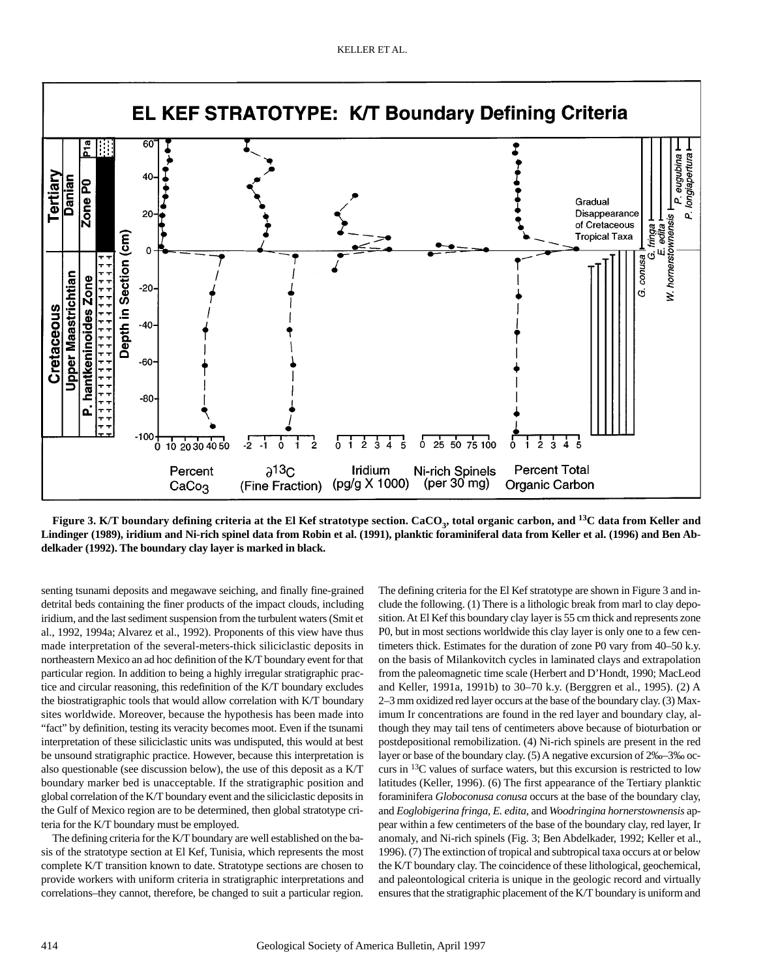

Figure 3. K/T boundary defining criteria at the El Kef stratotype section. CaCO<sub>3</sub>, total organic carbon, and <sup>13</sup>C data from Keller and **Lindinger (1989), iridium and Ni-rich spinel data from Robin et al. (1991), planktic foraminiferal data from Keller et al. (1996) and Ben Abdelkader (1992). The boundary clay layer is marked in black.**

senting tsunami deposits and megawave seiching, and finally fine-grained detrital beds containing the finer products of the impact clouds, including iridium, and the last sediment suspension from the turbulent waters (Smit et al., 1992, 1994a; Alvarez et al., 1992). Proponents of this view have thus made interpretation of the several-meters-thick siliciclastic deposits in northeastern Mexico an ad hoc definition of the K/T boundary event for that particular region. In addition to being a highly irregular stratigraphic practice and circular reasoning, this redefinition of the K/T boundary excludes the biostratigraphic tools that would allow correlation with K/T boundary sites worldwide. Moreover, because the hypothesis has been made into "fact" by definition, testing its veracity becomes moot. Even if the tsunami interpretation of these siliciclastic units was undisputed, this would at best be unsound stratigraphic practice. However, because this interpretation is also questionable (see discussion below), the use of this deposit as a K/T boundary marker bed is unacceptable. If the stratigraphic position and global correlation of the K/T boundary event and the siliciclastic deposits in the Gulf of Mexico region are to be determined, then global stratotype criteria for the K/T boundary must be employed.

The defining criteria for the K/T boundary are well established on the basis of the stratotype section at El Kef, Tunisia, which represents the most complete K/T transition known to date. Stratotype sections are chosen to provide workers with uniform criteria in stratigraphic interpretations and correlations–they cannot, therefore, be changed to suit a particular region.

The defining criteria for the El Kef stratotype are shown in Figure 3 and include the following. (1) There is a lithologic break from marl to clay deposition. At El Kef this boundary clay layer is 55 cm thick and represents zone P0, but in most sections worldwide this clay layer is only one to a few centimeters thick. Estimates for the duration of zone P0 vary from 40–50 k.y. on the basis of Milankovitch cycles in laminated clays and extrapolation from the paleomagnetic time scale (Herbert and D'Hondt, 1990; MacLeod and Keller, 1991a, 1991b) to 30–70 k.y. (Berggren et al., 1995). (2) A 2–3 mm oxidized red layer occurs at the base of the boundary clay. (3) Maximum Ir concentrations are found in the red layer and boundary clay, although they may tail tens of centimeters above because of bioturbation or postdepositional remobilization. (4) Ni-rich spinels are present in the red layer or base of the boundary clay. (5) A negative excursion of 2‰–3‰ occurs in 13C values of surface waters, but this excursion is restricted to low latitudes (Keller, 1996). (6) The first appearance of the Tertiary planktic foraminifera *Globoconusa conusa* occurs at the base of the boundary clay, and *Eoglobigerina fringa*, *E. edita*, and *Woodringina hornerstownensis* appear within a few centimeters of the base of the boundary clay, red layer, Ir anomaly, and Ni-rich spinels (Fig. 3; Ben Abdelkader, 1992; Keller et al., 1996). (7) The extinction of tropical and subtropical taxa occurs at or below the K/T boundary clay. The coincidence of these lithological, geochemical, and paleontological criteria is unique in the geologic record and virtually ensures that the stratigraphic placement of the K/T boundary is uniform and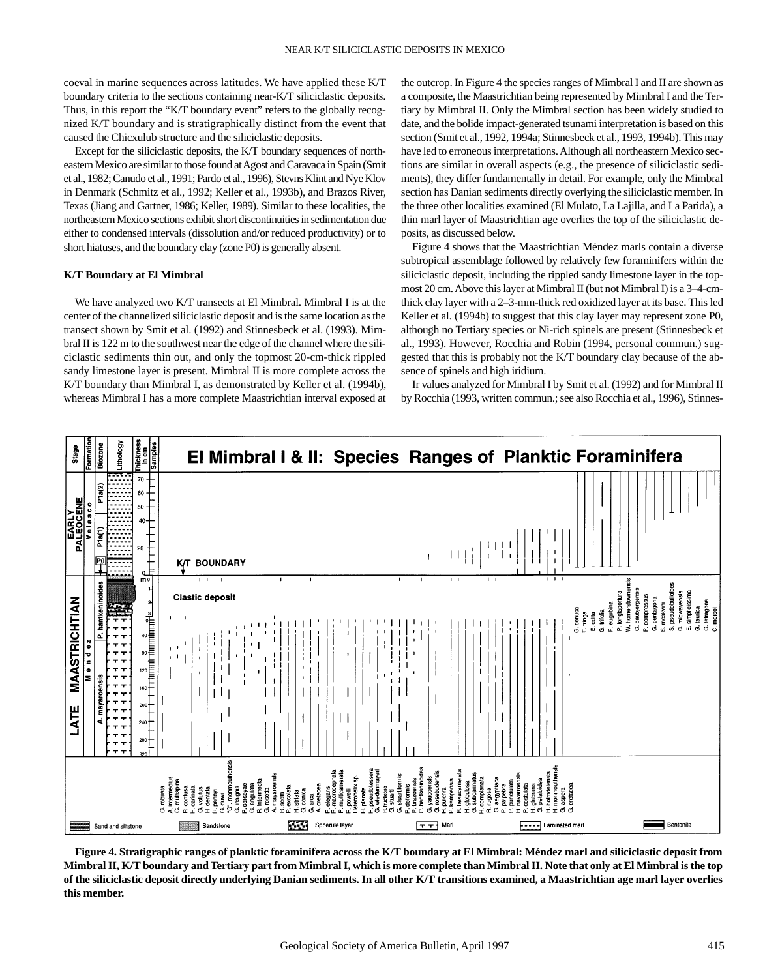coeval in marine sequences across latitudes. We have applied these K/T boundary criteria to the sections containing near-K/T siliciclastic deposits. Thus, in this report the "K/T boundary event" refers to the globally recognized K/T boundary and is stratigraphically distinct from the event that caused the Chicxulub structure and the siliciclastic deposits.

Except for the siliciclastic deposits, the K/T boundary sequences of northeastern Mexico are similar to those found at Agost and Caravaca in Spain (Smit et al., 1982; Canudo et al., 1991; Pardo et al., 1996), Stevns Klint and Nye Klov in Denmark (Schmitz et al., 1992; Keller et al., 1993b), and Brazos River, Texas (Jiang and Gartner, 1986; Keller, 1989). Similar to these localities, the northeastern Mexico sections exhibit short discontinuities in sedimentation due either to condensed intervals (dissolution and/or reduced productivity) or to short hiatuses, and the boundary clay (zone P0) is generally absent.

## **K/T Boundary at El Mimbral**

We have analyzed two K/T transects at El Mimbral. Mimbral I is at the center of the channelized siliciclastic deposit and is the same location as the transect shown by Smit et al. (1992) and Stinnesbeck et al. (1993). Mimbral II is 122 m to the southwest near the edge of the channel where the siliciclastic sediments thin out, and only the topmost 20-cm-thick rippled sandy limestone layer is present. Mimbral II is more complete across the K/T boundary than Mimbral I, as demonstrated by Keller et al. (1994b), whereas Mimbral I has a more complete Maastrichtian interval exposed at the outcrop. In Figure 4 the species ranges of Mimbral I and II are shown as a composite, the Maastrichtian being represented by Mimbral I and the Tertiary by Mimbral II. Only the Mimbral section has been widely studied to date, and the bolide impact-generated tsunami interpretation is based on this section (Smit et al., 1992, 1994a; Stinnesbeck et al., 1993, 1994b). This may have led to erroneous interpretations. Although all northeastern Mexico sections are similar in overall aspects (e.g., the presence of siliciclastic sediments), they differ fundamentally in detail. For example, only the Mimbral section has Danian sediments directly overlying the siliciclastic member. In the three other localities examined (El Mulato, La Lajilla, and La Parida), a thin marl layer of Maastrichtian age overlies the top of the siliciclastic deposits, as discussed below.

Figure 4 shows that the Maastrichtian Méndez marls contain a diverse subtropical assemblage followed by relatively few foraminifers within the siliciclastic deposit, including the rippled sandy limestone layer in the topmost 20 cm. Above this layer at Mimbral II (but not Mimbral I) is a 3–4-cmthick clay layer with a 2–3-mm-thick red oxidized layer at its base. This led Keller et al. (1994b) to suggest that this clay layer may represent zone P0, although no Tertiary species or Ni-rich spinels are present (Stinnesbeck et al., 1993). However, Rocchia and Robin (1994, personal commun.) suggested that this is probably not the K/T boundary clay because of the absence of spinels and high iridium.

Ir values analyzed for Mimbral I by Smit et al. (1992) and for Mimbral II by Rocchia (1993, written commun.; see also Rocchia et al., 1996), Stinnes-



**Figure 4. Stratigraphic ranges of planktic foraminifera across the K/T boundary at El Mimbral: Méndez marl and siliciclastic deposit from Mimbral II, K/T boundary and Tertiary part from Mimbral I, which is more complete than Mimbral II. Note that only at El Mimbral is the top of the siliciclastic deposit directly underlying Danian sediments. In all other K/T transitions examined, a Maastrichtian age marl layer overlies this member.**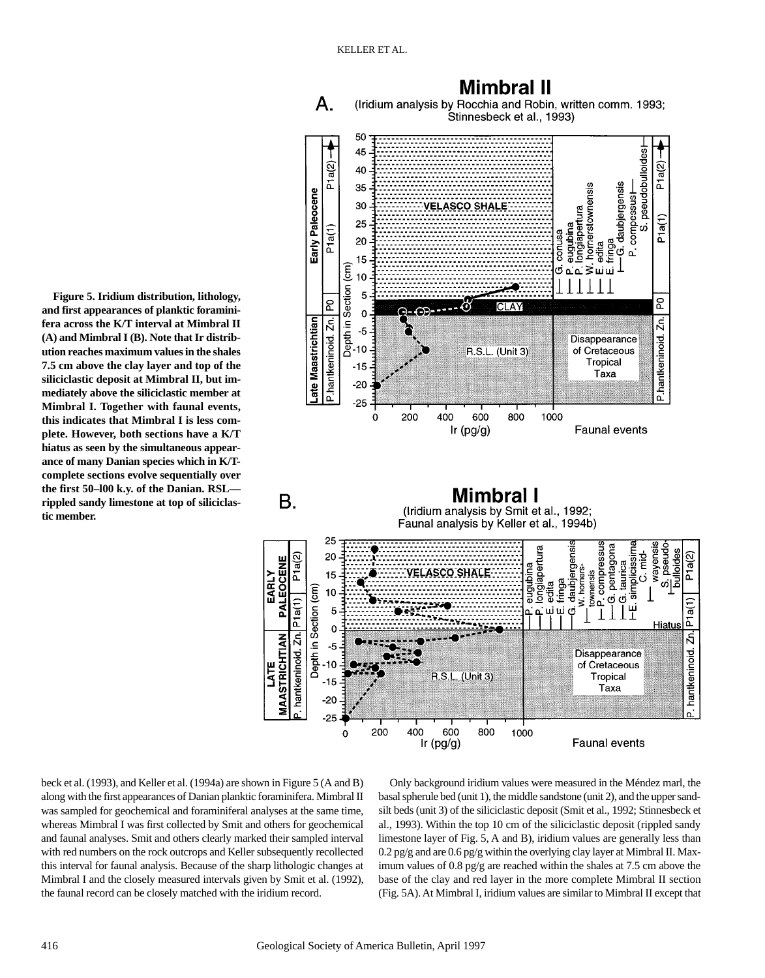



beck et al. (1993), and Keller et al. (1994a) are shown in Figure 5 (A and B) along with the first appearances of Danian planktic foraminifera. Mimbral II was sampled for geochemical and foraminiferal analyses at the same time, whereas Mimbral I was first collected by Smit and others for geochemical and faunal analyses. Smit and others clearly marked their sampled interval with red numbers on the rock outcrops and Keller subsequently recollected this interval for faunal analysis. Because of the sharp lithologic changes at Mimbral I and the closely measured intervals given by Smit et al. (1992), the faunal record can be closely matched with the iridium record.

Only background iridium values were measured in the Méndez marl, the basal spherule bed (unit 1), the middle sandstone (unit 2), and the upper sandsilt beds (unit 3) of the siliciclastic deposit (Smit et al., 1992; Stinnesbeck et al., 1993). Within the top 10 cm of the siliciclastic deposit (rippled sandy limestone layer of Fig. 5, A and B), iridium values are generally less than 0.2 pg/g and are 0.6 pg/g within the overlying clay layer at Mimbral II. Maximum values of 0.8 pg/g are reached within the shales at 7.5 cm above the base of the clay and red layer in the more complete Mimbral II section (Fig. 5A). At Mimbral I, iridium values are similar to Mimbral II except that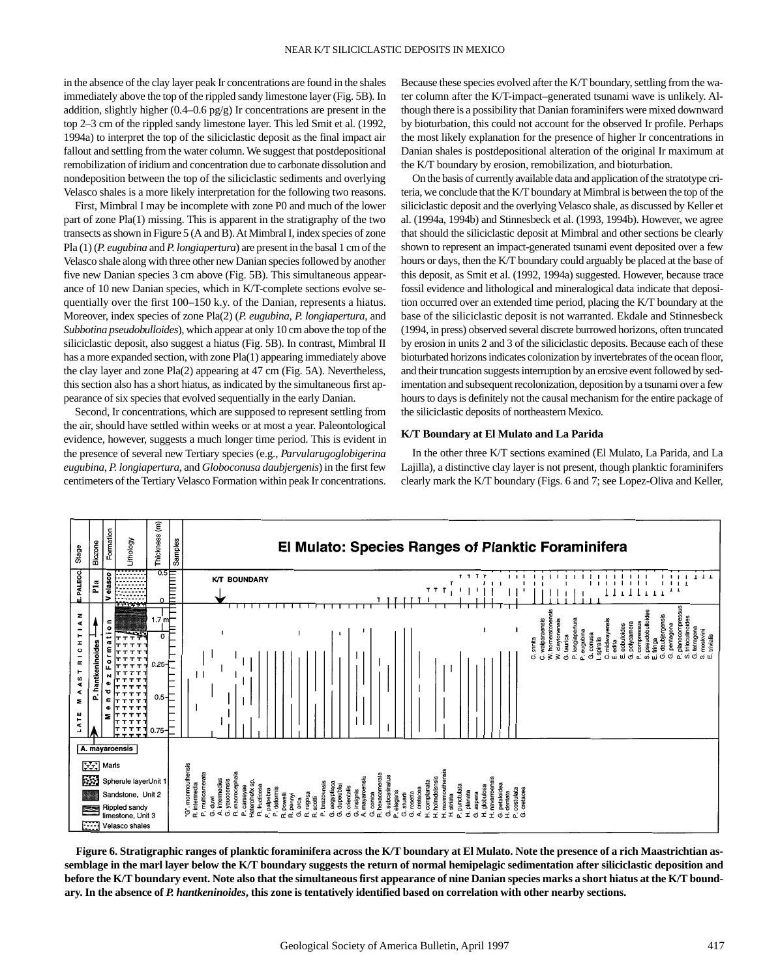in the absence of the clay layer peak Ir concentrations are found in the shales immediately above the top of the rippled sandy limestone layer (Fig. 5B). In addition, slightly higher (0.4–0.6 pg/g) Ir concentrations are present in the top 2–3 cm of the rippled sandy limestone layer. This led Smit et al. (1992, 1994a) to interpret the top of the siliciclastic deposit as the final impact air fallout and settling from the water column. We suggest that postdepositional remobilization of iridium and concentration due to carbonate dissolution and nondeposition between the top of the siliciclastic sediments and overlying Velasco shales is a more likely interpretation for the following two reasons.

First, Mimbral I may be incomplete with zone P0 and much of the lower part of zone Pla(1) missing. This is apparent in the stratigraphy of the two transects as shown in Figure 5 (A and B). At Mimbral I, index species of zone Pla (1) (*P. eugubina* and *P. longiapertura*) are present in the basal 1 cm of the Velasco shale along with three other new Danian species followed by another five new Danian species 3 cm above (Fig. 5B). This simultaneous appearance of 10 new Danian species, which in K/T-complete sections evolve sequentially over the first 100–150 k.y. of the Danian, represents a hiatus. Moreover, index species of zone Pla(2) (*P. eugubina*, *P. longiapertura*, and *Subbotina pseudobulloides*), which appear at only 10 cm above the top of the siliciclastic deposit, also suggest a hiatus (Fig. 5B). In contrast, Mimbral II has a more expanded section, with zone Pla(1) appearing immediately above the clay layer and zone Pla(2) appearing at 47 cm (Fig. 5A). Nevertheless, this section also has a short hiatus, as indicated by the simultaneous first appearance of six species that evolved sequentially in the early Danian.

Second, Ir concentrations, which are supposed to represent settling from the air, should have settled within weeks or at most a year. Paleontological evidence, however, suggests a much longer time period. This is evident in the presence of several new Tertiary species (e.g., *Parvularugoglobigerina eugubina*, *P. longiapertura*, and *Globoconusa daubjergenis*) in the first few centimeters of the Tertiary Velasco Formation within peak Ir concentrations.

Because these species evolved after the K/T boundary, settling from the water column after the K/T-impact–generated tsunami wave is unlikely. Although there is a possibility that Danian foraminifers were mixed downward by bioturbation, this could not account for the observed Ir profile. Perhaps the most likely explanation for the presence of higher Ir concentrations in Danian shales is postdepositional alteration of the original Ir maximum at the K/T boundary by erosion, remobilization, and bioturbation.

On the basis of currently available data and application of the stratotype criteria, we conclude that the K/T boundary at Mimbral is between the top of the siliciclastic deposit and the overlying Velasco shale, as discussed by Keller et al. (1994a, 1994b) and Stinnesbeck et al. (1993, 1994b). However, we agree that should the siliciclastic deposit at Mimbral and other sections be clearly shown to represent an impact-generated tsunami event deposited over a few hours or days, then the K/T boundary could arguably be placed at the base of this deposit, as Smit et al. (1992, 1994a) suggested. However, because trace fossil evidence and lithological and mineralogical data indicate that deposition occurred over an extended time period, placing the K/T boundary at the base of the siliciclastic deposit is not warranted. Ekdale and Stinnesbeck (1994, in press) observed several discrete burrowed horizons, often truncated by erosion in units 2 and 3 of the siliciclastic deposits. Because each of these bioturbated horizons indicates colonization by invertebrates of the ocean floor, and their truncation suggests interruption by an erosive event followed by sedimentation and subsequent recolonization, deposition by a tsunami over a few hours to days is definitely not the causal mechanism for the entire package of the siliciclastic deposits of northeastern Mexico.

# **K/T Boundary at El Mulato and La Parida**

In the other three K/T sections examined (El Mulato, La Parida, and La Lajilla), a distinctive clay layer is not present, though planktic foraminifers clearly mark the K/T boundary (Figs. 6 and 7; see Lopez-Oliva and Keller,



**Figure 6. Stratigraphic ranges of planktic foraminifera across the K/T boundary at El Mulato. Note the presence of a rich Maastrichtian assemblage in the marl layer below the K/T boundary suggests the return of normal hemipelagic sedimentation after siliciclastic deposition and before the K/T boundary event. Note also that the simultaneous first appearance of nine Danian species marks a short hiatus at the K/T boundary. In the absence of** *P. hantkeninoides***, this zone is tentatively identified based on correlation with other nearby sections.**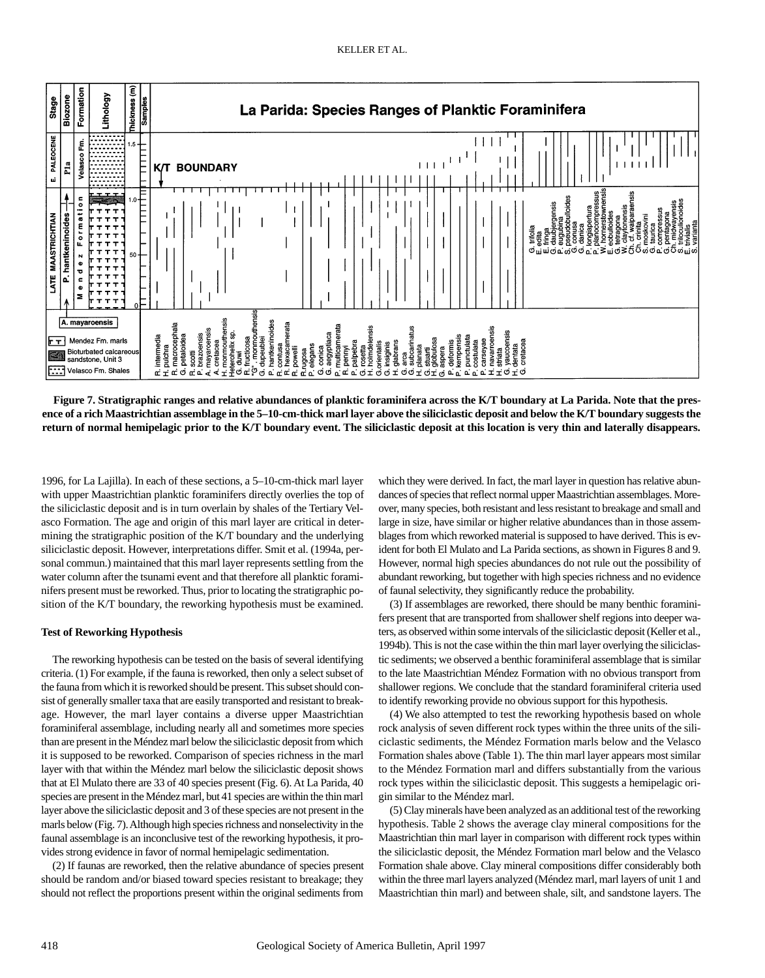

**Figure 7. Stratigraphic ranges and relative abundances of planktic foraminifera across the K/T boundary at La Parida. Note that the presence of a rich Maastrichtian assemblage in the 5–10-cm-thick marl layer above the siliciclastic deposit and below the K/T boundary suggests the return of normal hemipelagic prior to the K/T boundary event. The siliciclastic deposit at this location is very thin and laterally disappears.**

1996, for La Lajilla). In each of these sections, a 5–10-cm-thick marl layer with upper Maastrichtian planktic foraminifers directly overlies the top of the siliciclastic deposit and is in turn overlain by shales of the Tertiary Velasco Formation. The age and origin of this marl layer are critical in determining the stratigraphic position of the K/T boundary and the underlying siliciclastic deposit. However, interpretations differ. Smit et al. (1994a, personal commun.) maintained that this marl layer represents settling from the water column after the tsunami event and that therefore all planktic foraminifers present must be reworked. Thus, prior to locating the stratigraphic position of the K/T boundary, the reworking hypothesis must be examined.

# **Test of Reworking Hypothesis**

The reworking hypothesis can be tested on the basis of several identifying criteria. (1) For example, if the fauna is reworked, then only a select subset of the fauna from which it is reworked should be present. This subset should consist of generally smaller taxa that are easily transported and resistant to breakage. However, the marl layer contains a diverse upper Maastrichtian foraminiferal assemblage, including nearly all and sometimes more species than are present in the Méndez marl below the siliciclastic deposit from which it is supposed to be reworked. Comparison of species richness in the marl layer with that within the Méndez marl below the siliciclastic deposit shows that at El Mulato there are 33 of 40 species present (Fig. 6). At La Parida, 40 species are present in the Méndez marl, but 41 species are within the thin marl layer above the siliciclastic deposit and 3 of these species are not present in the marls below (Fig. 7). Although high species richness and nonselectivity in the faunal assemblage is an inconclusive test of the reworking hypothesis, it provides strong evidence in favor of normal hemipelagic sedimentation.

(2) If faunas are reworked, then the relative abundance of species present should be random and/or biased toward species resistant to breakage; they should not reflect the proportions present within the original sediments from

which they were derived. In fact, the marl layer in question has relative abundances of species that reflect normal upper Maastrichtian assemblages. Moreover, many species, both resistant and less resistant to breakage and small and large in size, have similar or higher relative abundances than in those assemblages from which reworked material is supposed to have derived. This is evident for both El Mulato and La Parida sections, as shown in Figures 8 and 9. However, normal high species abundances do not rule out the possibility of abundant reworking, but together with high species richness and no evidence of faunal selectivity, they significantly reduce the probability.

(3) If assemblages are reworked, there should be many benthic foraminifers present that are transported from shallower shelf regions into deeper waters, as observed within some intervals of the siliciclastic deposit (Keller et al., 1994b). This is not the case within the thin marl layer overlying the siliciclastic sediments; we observed a benthic foraminiferal assemblage that is similar to the late Maastrichtian Méndez Formation with no obvious transport from shallower regions. We conclude that the standard foraminiferal criteria used to identify reworking provide no obvious support for this hypothesis.

(4) We also attempted to test the reworking hypothesis based on whole rock analysis of seven different rock types within the three units of the siliciclastic sediments, the Méndez Formation marls below and the Velasco Formation shales above (Table 1). The thin marl layer appears most similar to the Méndez Formation marl and differs substantially from the various rock types within the siliciclastic deposit. This suggests a hemipelagic origin similar to the Méndez marl.

(5) Clay minerals have been analyzed as an additional test of the reworking hypothesis. Table 2 shows the average clay mineral compositions for the Maastrichtian thin marl layer in comparison with different rock types within the siliciclastic deposit, the Méndez Formation marl below and the Velasco Formation shale above. Clay mineral compositions differ considerably both within the three marl layers analyzed (Méndez marl, marl layers of unit 1 and Maastrichtian thin marl) and between shale, silt, and sandstone layers. The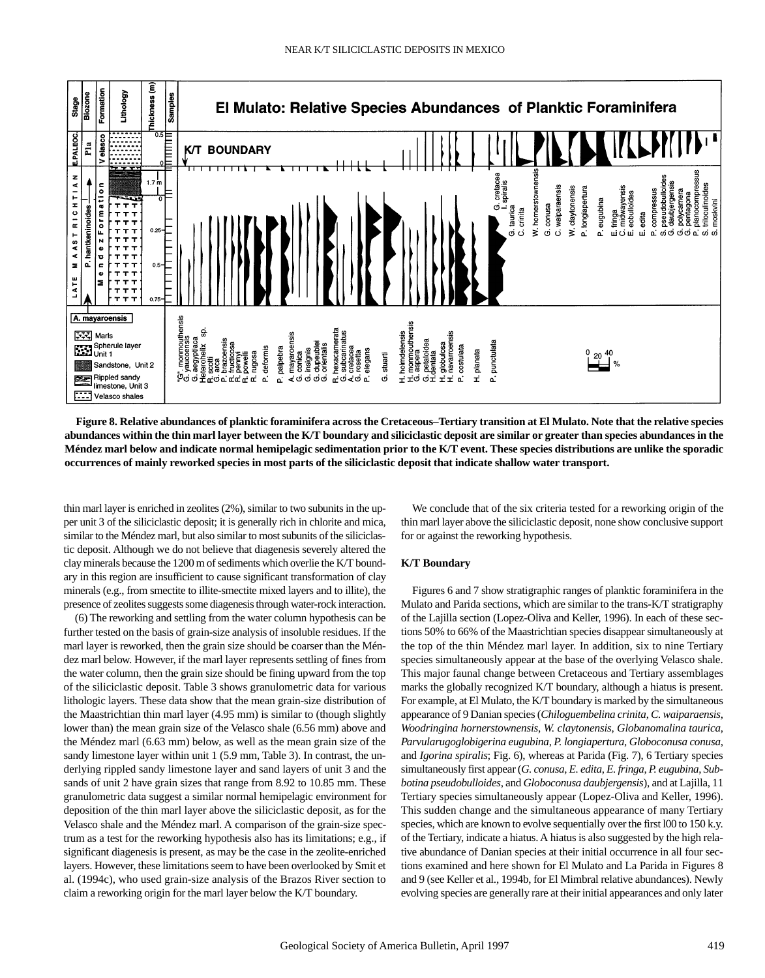

**Figure 8. Relative abundances of planktic foraminifera across the Cretaceous–Tertiary transition at El Mulato. Note that the relative species abundances within the thin marl layer between the K/T boundary and siliciclastic deposit are similar or greater than species abundances in the Méndez marl below and indicate normal hemipelagic sedimentation prior to the K/T event. These species distributions are unlike the sporadic occurrences of mainly reworked species in most parts of the siliciclastic deposit that indicate shallow water transport.**

thin marl layer is enriched in zeolites (2%), similar to two subunits in the upper unit 3 of the siliciclastic deposit; it is generally rich in chlorite and mica, similar to the Méndez marl, but also similar to most subunits of the siliciclastic deposit. Although we do not believe that diagenesis severely altered the clay minerals because the 1200 m of sediments which overlie the K/T boundary in this region are insufficient to cause significant transformation of clay minerals (e.g., from smectite to illite-smectite mixed layers and to illite), the presence of zeolites suggests some diagenesis through water-rock interaction.

(6) The reworking and settling from the water column hypothesis can be further tested on the basis of grain-size analysis of insoluble residues. If the marl layer is reworked, then the grain size should be coarser than the Méndez marl below. However, if the marl layer represents settling of fines from the water column, then the grain size should be fining upward from the top of the siliciclastic deposit. Table 3 shows granulometric data for various lithologic layers. These data show that the mean grain-size distribution of the Maastrichtian thin marl layer (4.95 mm) is similar to (though slightly lower than) the mean grain size of the Velasco shale (6.56 mm) above and the Méndez marl (6.63 mm) below, as well as the mean grain size of the sandy limestone layer within unit 1 (5.9 mm, Table 3). In contrast, the underlying rippled sandy limestone layer and sand layers of unit 3 and the sands of unit 2 have grain sizes that range from 8.92 to 10.85 mm. These granulometric data suggest a similar normal hemipelagic environment for deposition of the thin marl layer above the siliciclastic deposit, as for the Velasco shale and the Méndez marl. A comparison of the grain-size spectrum as a test for the reworking hypothesis also has its limitations; e.g., if significant diagenesis is present, as may be the case in the zeolite-enriched layers. However, these limitations seem to have been overlooked by Smit et al. (1994c), who used grain-size analysis of the Brazos River section to claim a reworking origin for the marl layer below the K/T boundary.

We conclude that of the six criteria tested for a reworking origin of the thin marl layer above the siliciclastic deposit, none show conclusive support for or against the reworking hypothesis.

#### **K/T Boundary**

Figures 6 and 7 show stratigraphic ranges of planktic foraminifera in the Mulato and Parida sections, which are similar to the trans-K/T stratigraphy of the Lajilla section (Lopez-Oliva and Keller, 1996). In each of these sections 50% to 66% of the Maastrichtian species disappear simultaneously at the top of the thin Méndez marl layer. In addition, six to nine Tertiary species simultaneously appear at the base of the overlying Velasco shale. This major faunal change between Cretaceous and Tertiary assemblages marks the globally recognized K/T boundary, although a hiatus is present. For example, at El Mulato, the K/T boundary is marked by the simultaneous appearance of 9 Danian species (*Chiloguembelina crinita*, *C. waiparaensis*, *Woodringina hornerstownensis*, *W. claytonensis*, *Globanomalina taurica*, *Parvularugoglobigerina eugubina*, *P. longiapertura*, *Globoconusa conusa*, and *Igorina spiralis*; Fig. 6), whereas at Parida (Fig. 7), 6 Tertiary species simultaneously first appear (*G. conusa*, *E. edita*, *E. fringa*, *P. eugubina*, *Subbotina pseudobulloides*, and *Globoconusa daubjergensis*), and at Lajilla, 11 Tertiary species simultaneously appear (Lopez-Oliva and Keller, 1996). This sudden change and the simultaneous appearance of many Tertiary species, which are known to evolve sequentially over the first l00 to 150 k.y. of the Tertiary, indicate a hiatus. A hiatus is also suggested by the high relative abundance of Danian species at their initial occurrence in all four sections examined and here shown for El Mulato and La Parida in Figures 8 and 9 (see Keller et al., 1994b, for El Mimbral relative abundances). Newly evolving species are generally rare at their initial appearances and only later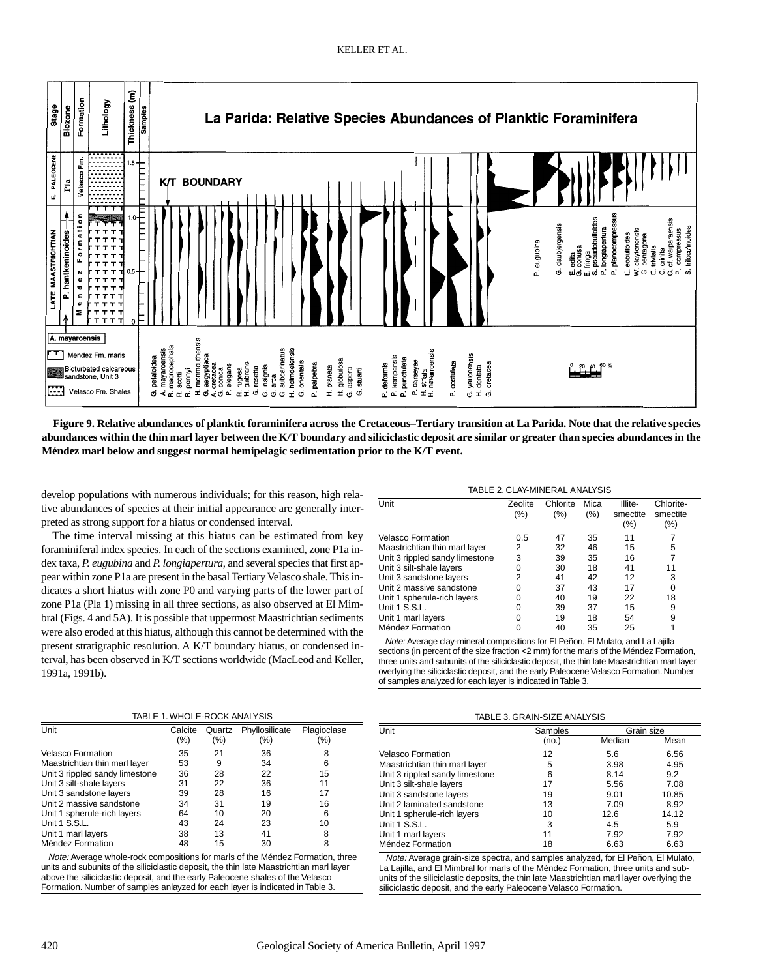

**Figure 9. Relative abundances of planktic foraminifera across the Cretaceous–Tertiary transition at La Parida. Note that the relative species abundances within the thin marl layer between the K/T boundary and siliciclastic deposit are similar or greater than species abundances in the Méndez marl below and suggest normal hemipelagic sedimentation prior to the K/T event.**

develop populations with numerous individuals; for this reason, high relative abundances of species at their initial appearance are generally interpreted as strong support for a hiatus or condensed interval.

The time interval missing at this hiatus can be estimated from key foraminiferal index species. In each of the sections examined, zone P1a index taxa, *P. eugubina* and *P. longiapertura*, and several species that first appear within zone P1a are present in the basal Tertiary Velasco shale. This indicates a short hiatus with zone P0 and varying parts of the lower part of zone P1a (Pla 1) missing in all three sections, as also observed at El Mimbral (Figs. 4 and 5A). It is possible that uppermost Maastrichtian sediments were also eroded at this hiatus, although this cannot be determined with the present stratigraphic resolution. A K/T boundary hiatus, or condensed interval, has been observed in K/T sections worldwide (MacLeod and Keller, 1991a, 1991b).

| Unit                           | Zeolite<br>(%) | Chlorite<br>$(\% )$ | Mica<br>(%) | Illite-<br>smectite<br>$(\% )$ | Chlorite-<br>smectite<br>(%) |  |
|--------------------------------|----------------|---------------------|-------------|--------------------------------|------------------------------|--|
| Velasco Formation              | 0.5            | 47                  | 35          | 11                             |                              |  |
| Maastrichtian thin marl layer  | 2              | 32                  | 46          | 15                             | 5                            |  |
| Unit 3 rippled sandy limestone | 3              | 39                  | 35          | 16                             |                              |  |
| Unit 3 silt-shale layers       | O              | 30                  | 18          | 41                             | 11                           |  |
| Unit 3 sandstone layers        | 2              | 41                  | 42          | 12                             | 3                            |  |
| Unit 2 massive sandstone       | 0              | 37                  | 43          | 17                             | 0                            |  |
| Unit 1 spherule-rich layers    | 0              | 40                  | 19          | 22                             | 18                           |  |
| Unit 1 S.S.L.                  | O              | 39                  | 37          | 15                             | 9                            |  |
| Unit 1 marl layers             | O              | 19                  | 18          | 54                             | 9                            |  |
| Méndez Formation               |                | 40                  | 35          | 25                             |                              |  |
|                                |                |                     |             |                                |                              |  |

Note: Average clay-mineral compositions for El Peñon, El Mulato, and La Lajilla sections (in percent of the size fraction <2 mm) for the marls of the Méndez Formation, three units and subunits of the siliciclastic deposit, the thin late Maastrichtian marl layer overlying the siliciclastic deposit, and the early Paleocene Velasco Formation. Number of samples analyzed for each layer is indicated in Table 3.

| IABLE 1. WHOLE-ROCK ANALYSIS   |                    |                   |                       |                    |  |  |
|--------------------------------|--------------------|-------------------|-----------------------|--------------------|--|--|
| Unit                           | Calcite<br>$(\% )$ | Quartz<br>$(\% )$ | Phyllosilicate<br>(%) | Plagioclase<br>(%) |  |  |
| <b>Velasco Formation</b>       | 35                 | 21                | 36                    | 8                  |  |  |
| Maastrichtian thin marl layer  | 53                 | 9                 | 34                    | 6                  |  |  |
| Unit 3 rippled sandy limestone | 36                 | 28                | 22                    | 15                 |  |  |
| Unit 3 silt-shale layers       | 31                 | 22                | 36                    | 11                 |  |  |
| Unit 3 sandstone layers        | 39                 | 28                | 16                    | 17                 |  |  |
| Unit 2 massive sandstone       | 34                 | 31                | 19                    | 16                 |  |  |
| Unit 1 spherule-rich layers    | 64                 | 10                | 20                    | 6                  |  |  |
| Unit 1 S.S.L.                  | 43                 | 24                | 23                    | 10                 |  |  |
| Unit 1 marl layers             | 38                 | 13                | 41                    | 8                  |  |  |
| Méndez Formation               | 48                 | 15                | 30                    | 8                  |  |  |

 $T_{\rm eff}$  . which is a set of  $T_{\rm eff}$ 

Note: Average whole-rock compositions for marls of the Méndez Formation, three units and subunits of the siliciclastic deposit, the thin late Maastrichtian marl layer above the siliciclastic deposit, and the early Paleocene shales of the Velasco Formation. Number of samples anlayzed for each layer is indicated in Table 3.

| TABLE 3. GRAIN-SIZE ANALYSIS |
|------------------------------|
|------------------------------|

| 17 19 LE 9. OI V 11 1 OI LE 7 11 17 1 LI OI O |         |            |       |  |  |
|-----------------------------------------------|---------|------------|-------|--|--|
| Unit                                          | Samples | Grain size |       |  |  |
|                                               | (no.)   | Median     | Mean  |  |  |
| <b>Velasco Formation</b>                      | 12      | 5.6        | 6.56  |  |  |
| Maastrichtian thin marl layer                 | 5       | 3.98       | 4.95  |  |  |
| Unit 3 rippled sandy limestone                | 6       | 8.14       | 9.2   |  |  |
| Unit 3 silt-shale layers                      | 17      | 5.56       | 7.08  |  |  |
| Unit 3 sandstone layers                       | 19      | 9.01       | 10.85 |  |  |
| Unit 2 laminated sandstone                    | 13      | 7.09       | 8.92  |  |  |
| Unit 1 spherule-rich layers                   | 10      | 12.6       | 14.12 |  |  |
| Unit 1 S.S.L.                                 | 3       | 4.5        | 5.9   |  |  |
| Unit 1 marl layers                            | 11      | 7.92       | 7.92  |  |  |
| Méndez Formation                              | 18      | 6.63       | 6.63  |  |  |

Note: Average grain-size spectra, and samples analyzed, for El Peñon, El Mulato, La Lajilla, and El Mimbral for marls of the Méndez Formation, three units and subunits of the siliciclastic deposits, the thin late Maastrichtian marl layer overlying the siliciclastic deposit, and the early Paleocene Velasco Formation.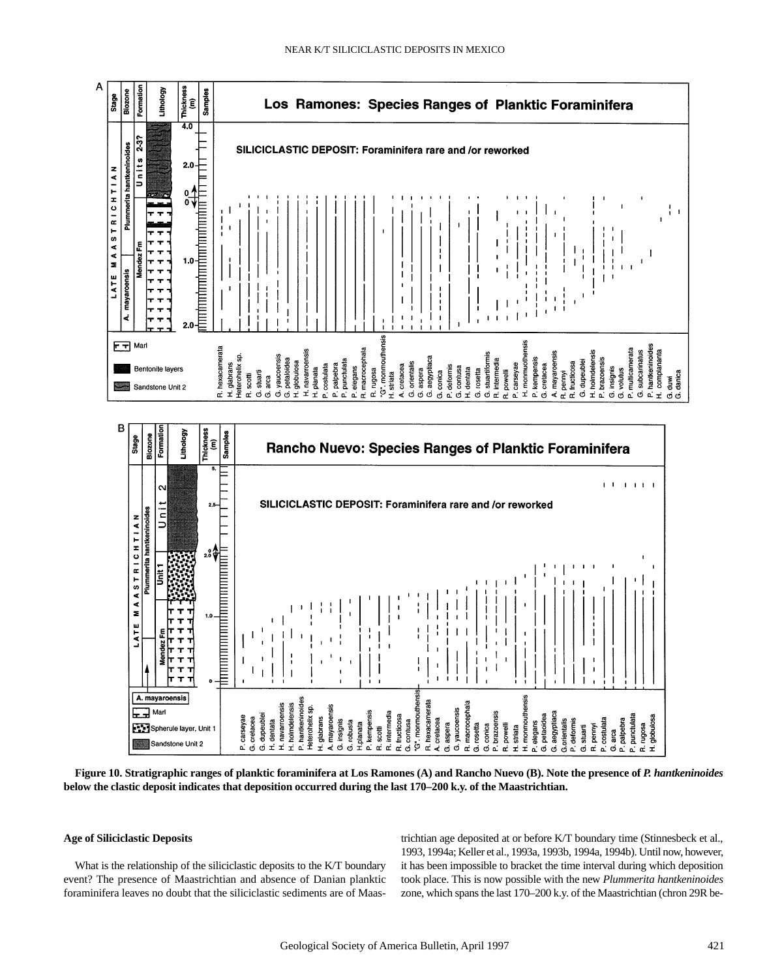

**Figure 10. Stratigraphic ranges of planktic foraminifera at Los Ramones (A) and Rancho Nuevo (B). Note the presence of** *P. hantkeninoides* **below the clastic deposit indicates that deposition occurred during the last 170–200 k.y. of the Maastrichtian.**

#### **Age of Siliciclastic Deposits**

What is the relationship of the siliciclastic deposits to the K/T boundary event? The presence of Maastrichtian and absence of Danian planktic foraminifera leaves no doubt that the siliciclastic sediments are of Maas-

trichtian age deposited at or before K/T boundary time (Stinnesbeck et al., 1993, 1994a; Keller et al., 1993a, 1993b, 1994a, 1994b). Until now, however, it has been impossible to bracket the time interval during which deposition took place. This is now possible with the new *Plummerita hantkeninoides* zone, which spans the last 170–200 k.y. of the Maastrichtian (chron 29R be-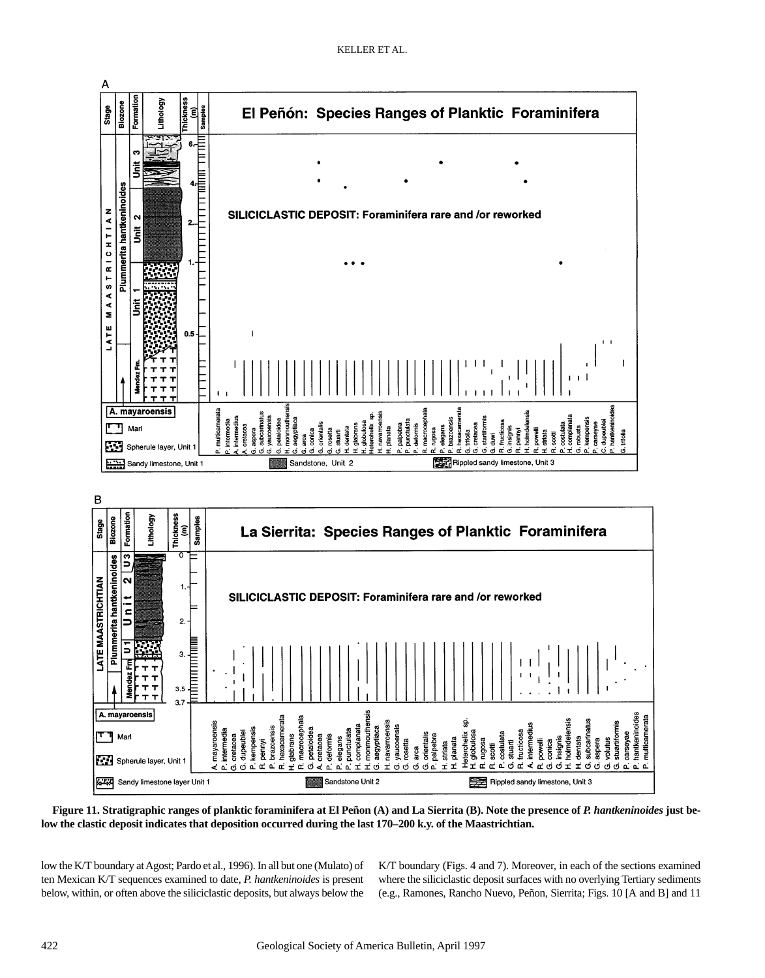

**Figure 11. Stratigraphic ranges of planktic foraminifera at El Peñon (A) and La Sierrita (B). Note the presence of** *P. hantkeninoides* **just below the clastic deposit indicates that deposition occurred during the last 170–200 k.y. of the Maastrichtian.**

low the K/T boundary at Agost; Pardo et al., 1996). In all but one (Mulato) of ten Mexican K/T sequences examined to date, *P. hantkeninoides* is present below, within, or often above the siliciclastic deposits, but always below the

K/T boundary (Figs. 4 and 7). Moreover, in each of the sections examined where the siliciclastic deposit surfaces with no overlying Tertiary sediments (e.g., Ramones, Rancho Nuevo, Peñon, Sierrita; Figs. 10 [A and B] and 11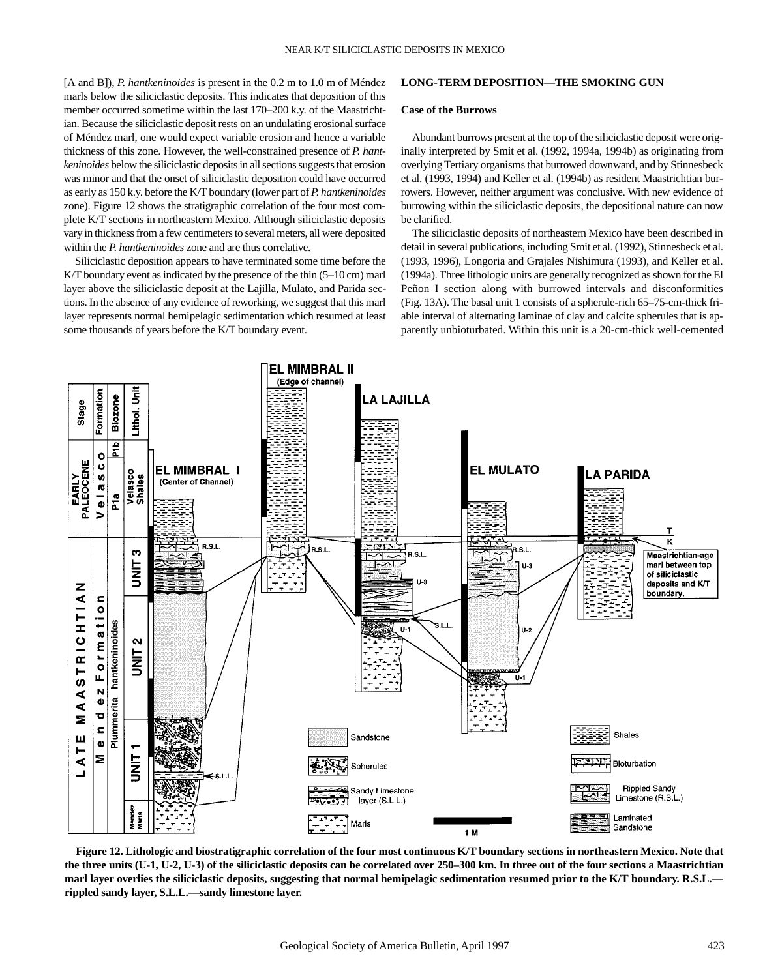[A and B]), *P. hantkeninoides* is present in the 0.2 m to 1.0 m of Méndez marls below the siliciclastic deposits. This indicates that deposition of this member occurred sometime within the last 170–200 k.y. of the Maastrichtian. Because the siliciclastic deposit rests on an undulating erosional surface of Méndez marl, one would expect variable erosion and hence a variable thickness of this zone. However, the well-constrained presence of *P. hantkeninoides* below the siliciclastic deposits in all sections suggests that erosion was minor and that the onset of siliciclastic deposition could have occurred as early as 150 k.y. before the K/T boundary (lower part of *P. hantkeninoides* zone). Figure 12 shows the stratigraphic correlation of the four most complete K/T sections in northeastern Mexico. Although siliciclastic deposits vary in thickness from a few centimeters to several meters, all were deposited within the *P. hantkeninoides* zone and are thus correlative.

Siliciclastic deposition appears to have terminated some time before the K/T boundary event as indicated by the presence of the thin (5–10 cm) marl layer above the siliciclastic deposit at the Lajilla, Mulato, and Parida sections. In the absence of any evidence of reworking, we suggest that this marl layer represents normal hemipelagic sedimentation which resumed at least some thousands of years before the K/T boundary event.

# **LONG-TERM DEPOSITION—THE SMOKING GUN**

#### **Case of the Burrows**

Abundant burrows present at the top of the siliciclastic deposit were originally interpreted by Smit et al. (1992, 1994a, 1994b) as originating from overlying Tertiary organisms that burrowed downward, and by Stinnesbeck et al. (1993, 1994) and Keller et al. (1994b) as resident Maastrichtian burrowers. However, neither argument was conclusive. With new evidence of burrowing within the siliciclastic deposits, the depositional nature can now be clarified.

The siliciclastic deposits of northeastern Mexico have been described in detail in several publications, including Smit et al. (1992), Stinnesbeck et al. (1993, 1996), Longoria and Grajales Nishimura (1993), and Keller et al. (1994a). Three lithologic units are generally recognized as shown for the El Peñon I section along with burrowed intervals and disconformities (Fig. 13A). The basal unit 1 consists of a spherule-rich 65–75-cm-thick friable interval of alternating laminae of clay and calcite spherules that is apparently unbioturbated. Within this unit is a 20-cm-thick well-cemented



**Figure 12. Lithologic and biostratigraphic correlation of the four most continuous K/T boundary sections in northeastern Mexico. Note that the three units (U-1, U-2, U-3) of the siliciclastic deposits can be correlated over 250–300 km. In three out of the four sections a Maastrichtian marl layer overlies the siliciclastic deposits, suggesting that normal hemipelagic sedimentation resumed prior to the K/T boundary. R.S.L. rippled sandy layer, S.L.L.—sandy limestone layer.**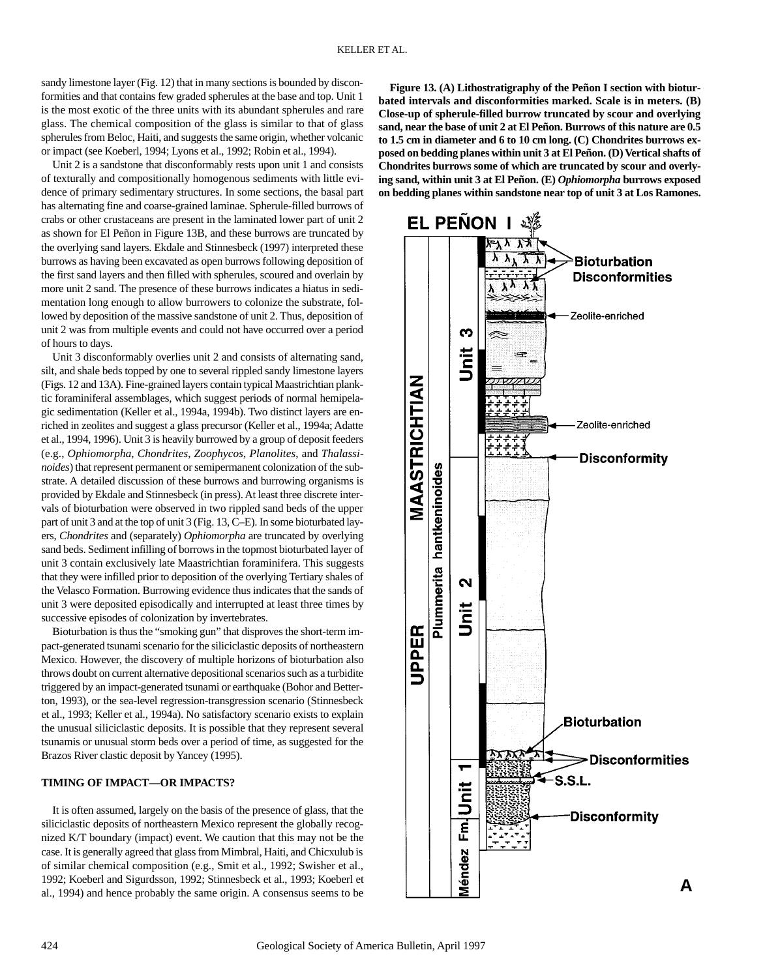sandy limestone layer (Fig. 12) that in many sections is bounded by disconformities and that contains few graded spherules at the base and top. Unit 1 is the most exotic of the three units with its abundant spherules and rare glass. The chemical composition of the glass is similar to that of glass spherules from Beloc, Haiti, and suggests the same origin, whether volcanic or impact (see Koeberl, 1994; Lyons et al., 1992; Robin et al., 1994).

Unit 2 is a sandstone that disconformably rests upon unit 1 and consists of texturally and compositionally homogenous sediments with little evidence of primary sedimentary structures. In some sections, the basal part has alternating fine and coarse-grained laminae. Spherule-filled burrows of crabs or other crustaceans are present in the laminated lower part of unit 2 as shown for El Peñon in Figure 13B, and these burrows are truncated by the overlying sand layers. Ekdale and Stinnesbeck (1997) interpreted these burrows as having been excavated as open burrows following deposition of the first sand layers and then filled with spherules, scoured and overlain by more unit 2 sand. The presence of these burrows indicates a hiatus in sedimentation long enough to allow burrowers to colonize the substrate, followed by deposition of the massive sandstone of unit 2. Thus, deposition of unit 2 was from multiple events and could not have occurred over a period of hours to days.

Unit 3 disconformably overlies unit 2 and consists of alternating sand, silt, and shale beds topped by one to several rippled sandy limestone layers (Figs. 12 and 13A). Fine-grained layers contain typical Maastrichtian planktic foraminiferal assemblages, which suggest periods of normal hemipelagic sedimentation (Keller et al., 1994a, 1994b). Two distinct layers are enriched in zeolites and suggest a glass precursor (Keller et al., 1994a; Adatte et al., 1994, 1996). Unit 3 is heavily burrowed by a group of deposit feeders (e.g., *Ophiomorpha*, *Chondrites*, *Zoophycos*, *Planolites*, and *Thalassinoides*) that represent permanent or semipermanent colonization of the substrate. A detailed discussion of these burrows and burrowing organisms is provided by Ekdale and Stinnesbeck (in press). At least three discrete intervals of bioturbation were observed in two rippled sand beds of the upper part of unit 3 and at the top of unit 3 (Fig. 13, C–E). In some bioturbated layers, *Chondrites* and (separately) *Ophiomorpha* are truncated by overlying sand beds. Sediment infilling of borrows in the topmost bioturbated layer of unit 3 contain exclusively late Maastrichtian foraminifera. This suggests that they were infilled prior to deposition of the overlying Tertiary shales of the Velasco Formation. Burrowing evidence thus indicates that the sands of unit 3 were deposited episodically and interrupted at least three times by successive episodes of colonization by invertebrates.

Bioturbation is thus the "smoking gun" that disproves the short-term impact-generated tsunami scenario for the siliciclastic deposits of northeastern Mexico. However, the discovery of multiple horizons of bioturbation also throws doubt on current alternative depositional scenarios such as a turbidite triggered by an impact-generated tsunami or earthquake (Bohor and Betterton, 1993), or the sea-level regression-transgression scenario (Stinnesbeck et al., 1993; Keller et al., 1994a). No satisfactory scenario exists to explain the unusual siliciclastic deposits. It is possible that they represent several tsunamis or unusual storm beds over a period of time, as suggested for the Brazos River clastic deposit by Yancey (1995).

# **TIMING OF IMPACT—OR IMPACTS?**

It is often assumed, largely on the basis of the presence of glass, that the siliciclastic deposits of northeastern Mexico represent the globally recognized K/T boundary (impact) event. We caution that this may not be the case. It is generally agreed that glass from Mimbral, Haiti, and Chicxulub is of similar chemical composition (e.g., Smit et al., 1992; Swisher et al., 1992; Koeberl and Sigurdsson, 1992; Stinnesbeck et al., 1993; Koeberl et al., 1994) and hence probably the same origin. A consensus seems to be

**Figure 13. (A) Lithostratigraphy of the Peñon I section with bioturbated intervals and disconformities marked. Scale is in meters. (B) Close-up of spherule-filled burrow truncated by scour and overlying sand, near the base of unit 2 at El Peñon. Burrows of this nature are 0.5 to 1.5 cm in diameter and 6 to 10 cm long. (C) Chondrites burrows exposed on bedding planes within unit 3 at El Peñon. (D) Vertical shafts of Chondrites burrows some of which are truncated by scour and overlying sand, within unit 3 at El Peñon. (E)** *Ophiomorpha* **burrows exposed on bedding planes within sandstone near top of unit 3 at Los Ramones.**

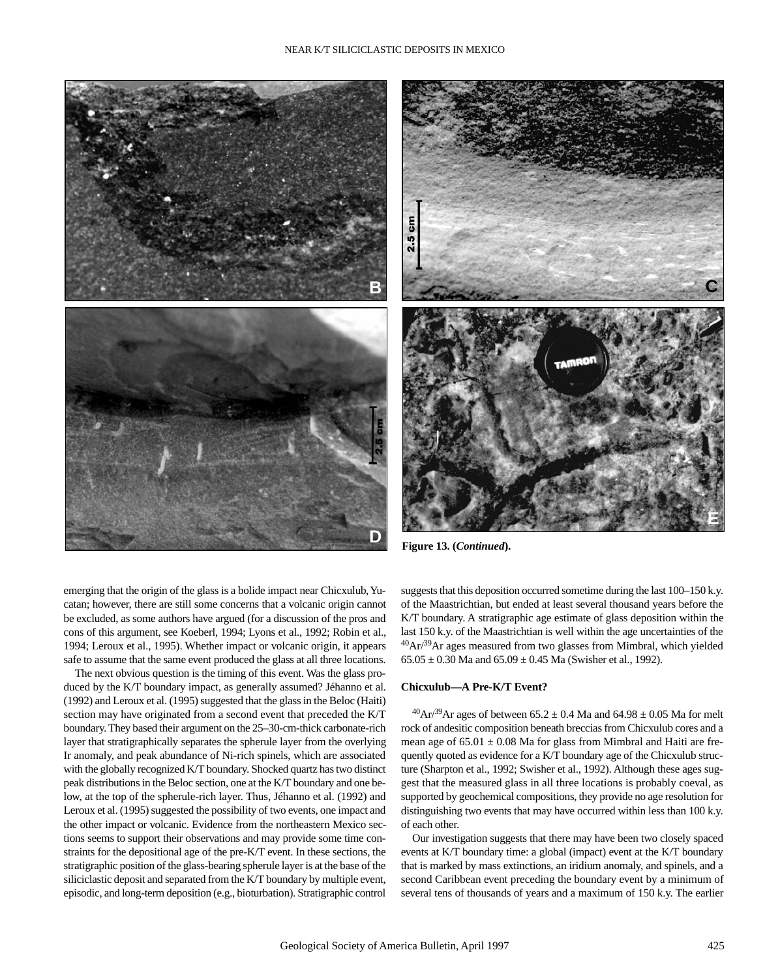



**Figure 13. (***Continued***).**

emerging that the origin of the glass is a bolide impact near Chicxulub, Yucatan; however, there are still some concerns that a volcanic origin cannot be excluded, as some authors have argued (for a discussion of the pros and cons of this argument, see Koeberl, 1994; Lyons et al., 1992; Robin et al., 1994; Leroux et al., 1995). Whether impact or volcanic origin, it appears safe to assume that the same event produced the glass at all three locations.

The next obvious question is the timing of this event. Was the glass produced by the K/T boundary impact, as generally assumed? Jéhanno et al. (1992) and Leroux et al. (1995) suggested that the glass in the Beloc (Haiti) section may have originated from a second event that preceded the K/T boundary. They based their argument on the 25–30-cm-thick carbonate-rich layer that stratigraphically separates the spherule layer from the overlying Ir anomaly, and peak abundance of Ni-rich spinels, which are associated with the globally recognized K/T boundary. Shocked quartz has two distinct peak distributions in the Beloc section, one at the K/T boundary and one below, at the top of the spherule-rich layer. Thus, Jéhanno et al. (1992) and Leroux et al. (1995) suggested the possibility of two events, one impact and the other impact or volcanic. Evidence from the northeastern Mexico sections seems to support their observations and may provide some time constraints for the depositional age of the pre-K/T event. In these sections, the stratigraphic position of the glass-bearing spherule layer is at the base of the siliciclastic deposit and separated from the K/T boundary by multiple event, episodic, and long-term deposition (e.g., bioturbation). Stratigraphic control

suggests that this deposition occurred sometime during the last 100–150 k.y. of the Maastrichtian, but ended at least several thousand years before the K/T boundary. A stratigraphic age estimate of glass deposition within the last 150 k.y. of the Maastrichtian is well within the age uncertainties of the  $^{40}Ar^{39}Ar$  ages measured from two glasses from Mimbral, which yielded  $65.05 \pm 0.30$  Ma and  $65.09 \pm 0.45$  Ma (Swisher et al., 1992).

#### **Chicxulub—A Pre-K/T Event?**

<sup>40</sup>Ar/<sup>39</sup>Ar ages of between 65.2  $\pm$  0.4 Ma and 64.98  $\pm$  0.05 Ma for melt rock of andesitic composition beneath breccias from Chicxulub cores and a mean age of  $65.01 \pm 0.08$  Ma for glass from Mimbral and Haiti are frequently quoted as evidence for a K/T boundary age of the Chicxulub structure (Sharpton et al., 1992; Swisher et al., 1992). Although these ages suggest that the measured glass in all three locations is probably coeval, as supported by geochemical compositions, they provide no age resolution for distinguishing two events that may have occurred within less than 100 k.y. of each other.

Our investigation suggests that there may have been two closely spaced events at K/T boundary time: a global (impact) event at the K/T boundary that is marked by mass extinctions, an iridium anomaly, and spinels, and a second Caribbean event preceding the boundary event by a minimum of several tens of thousands of years and a maximum of 150 k.y. The earlier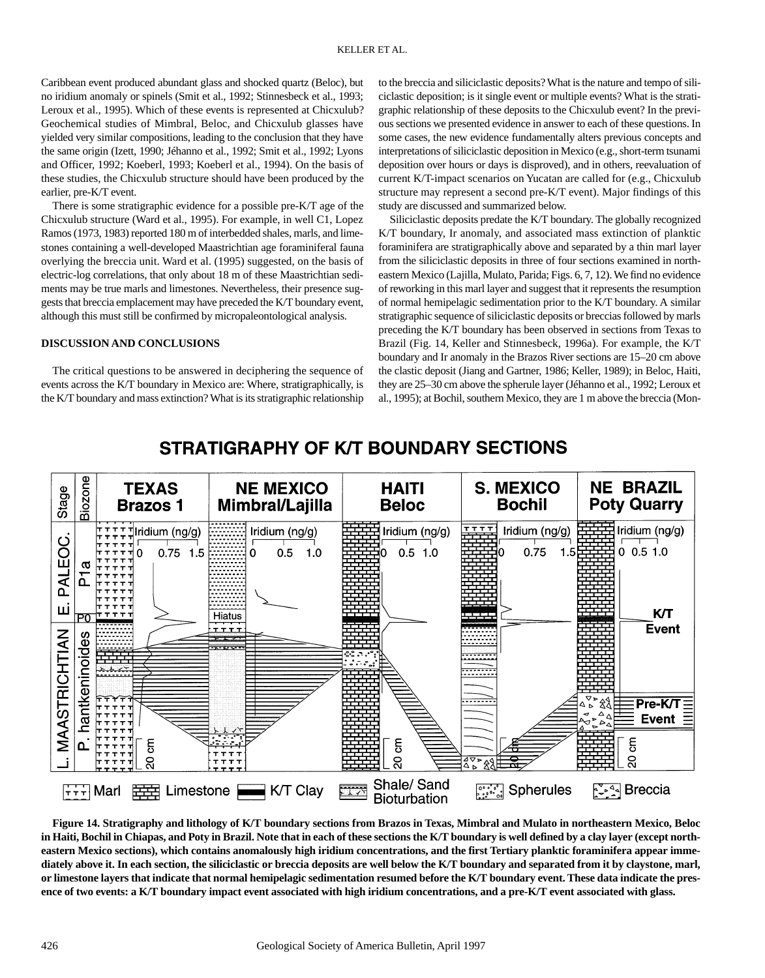Caribbean event produced abundant glass and shocked quartz (Beloc), but no iridium anomaly or spinels (Smit et al., 1992; Stinnesbeck et al., 1993; Leroux et al., 1995). Which of these events is represented at Chicxulub? Geochemical studies of Mimbral, Beloc, and Chicxulub glasses have yielded very similar compositions, leading to the conclusion that they have the same origin (Izett, 1990; Jéhanno et al., 1992; Smit et al., 1992; Lyons and Officer, 1992; Koeberl, 1993; Koeberl et al., 1994). On the basis of these studies, the Chicxulub structure should have been produced by the earlier, pre-K/T event.

There is some stratigraphic evidence for a possible pre-K/T age of the Chicxulub structure (Ward et al., 1995). For example, in well C1, Lopez Ramos (1973, 1983) reported 180 m of interbedded shales, marls, and limestones containing a well-developed Maastrichtian age foraminiferal fauna overlying the breccia unit. Ward et al. (1995) suggested, on the basis of electric-log correlations, that only about 18 m of these Maastrichtian sediments may be true marls and limestones. Nevertheless, their presence suggests that breccia emplacement may have preceded the K/T boundary event, although this must still be confirmed by micropaleontological analysis.

# **DISCUSSION AND CONCLUSIONS**

The critical questions to be answered in deciphering the sequence of events across the K/T boundary in Mexico are: Where, stratigraphically, is the K/T boundary and mass extinction? What is its stratigraphic relationship to the breccia and siliciclastic deposits? What is the nature and tempo of siliciclastic deposition; is it single event or multiple events? What is the stratigraphic relationship of these deposits to the Chicxulub event? In the previous sections we presented evidence in answer to each of these questions. In some cases, the new evidence fundamentally alters previous concepts and interpretations of siliciclastic deposition in Mexico (e.g., short-term tsunami deposition over hours or days is disproved), and in others, reevaluation of current K/T-impact scenarios on Yucatan are called for (e.g., Chicxulub structure may represent a second pre-K/T event). Major findings of this study are discussed and summarized below.

Siliciclastic deposits predate the K/T boundary. The globally recognized K/T boundary, Ir anomaly, and associated mass extinction of planktic foraminifera are stratigraphically above and separated by a thin marl layer from the siliciclastic deposits in three of four sections examined in northeastern Mexico (Lajilla, Mulato, Parida; Figs. 6, 7, 12). We find no evidence of reworking in this marl layer and suggest that it represents the resumption of normal hemipelagic sedimentation prior to the K/T boundary. A similar stratigraphic sequence of siliciclastic deposits or breccias followed by marls preceding the K/T boundary has been observed in sections from Texas to Brazil (Fig. 14, Keller and Stinnesbeck, 1996a). For example, the K/T boundary and Ir anomaly in the Brazos River sections are 15–20 cm above the clastic deposit (Jiang and Gartner, 1986; Keller, 1989); in Beloc, Haiti, they are 25–30 cm above the spherule layer (Jéhanno et al., 1992; Leroux et al., 1995); at Bochil, southern Mexico, they are 1 m above the breccia (Mon-



# **STRATIGRAPHY OF K/T BOUNDARY SECTIONS**

**Figure 14. Stratigraphy and lithology of K/T boundary sections from Brazos in Texas, Mimbral and Mulato in northeastern Mexico, Beloc in Haiti, Bochil in Chiapas, and Poty in Brazil. Note that in each of these sections the K/T boundary is well defined by a clay layer (except northeastern Mexico sections), which contains anomalously high iridium concentrations, and the first Tertiary planktic foraminifera appear immediately above it. In each section, the siliciclastic or breccia deposits are well below the K/T boundary and separated from it by claystone, marl, or limestone layers that indicate that normal hemipelagic sedimentation resumed before the K/T boundary event. These data indicate the presence of two events: a K/T boundary impact event associated with high iridium concentrations, and a pre-K/T event associated with glass.**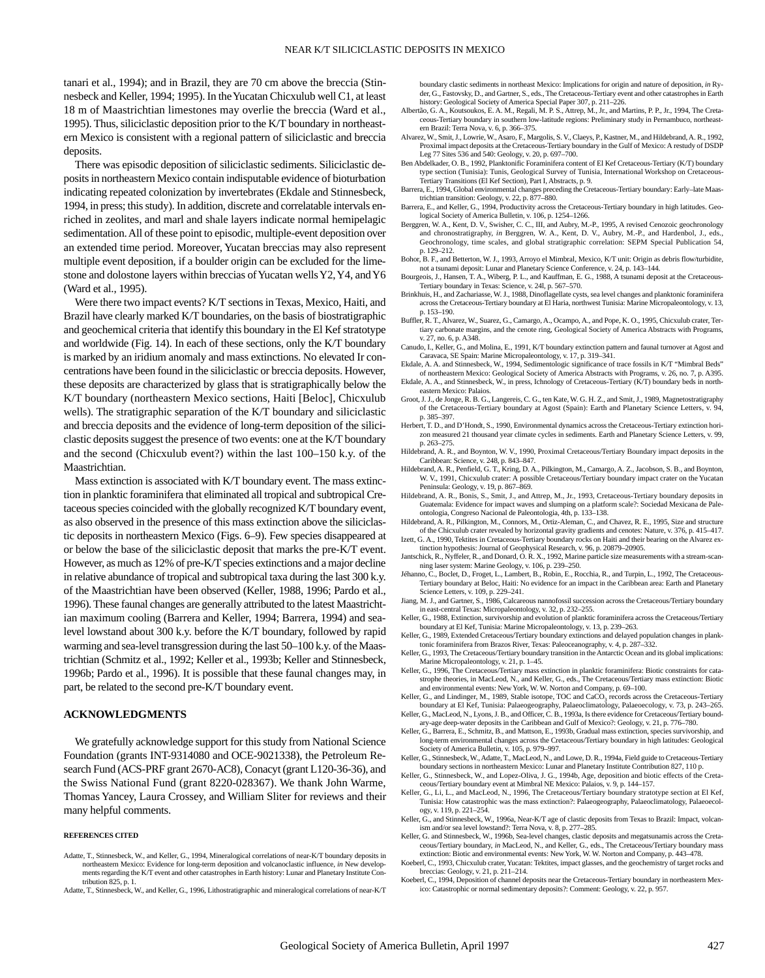tanari et al., 1994); and in Brazil, they are 70 cm above the breccia (Stinnesbeck and Keller, 1994; 1995). In the Yucatan Chicxulub well C1, at least 18 m of Maastrichtian limestones may overlie the breccia (Ward et al., 1995). Thus, siliciclastic deposition prior to the K/T boundary in northeastern Mexico is consistent with a regional pattern of siliciclastic and breccia deposits.

There was episodic deposition of siliciclastic sediments. Siliciclastic deposits in northeastern Mexico contain indisputable evidence of bioturbation indicating repeated colonization by invertebrates (Ekdale and Stinnesbeck, 1994, in press; this study). In addition, discrete and correlatable intervals enriched in zeolites, and marl and shale layers indicate normal hemipelagic sedimentation. All of these point to episodic, multiple-event deposition over an extended time period. Moreover, Yucatan breccias may also represent multiple event deposition, if a boulder origin can be excluded for the limestone and dolostone layers within breccias of Yucatan wells Y2,Y4, and Y6 (Ward et al., 1995).

Were there two impact events? K/T sections in Texas, Mexico, Haiti, and Brazil have clearly marked K/T boundaries, on the basis of biostratigraphic and geochemical criteria that identify this boundary in the El Kef stratotype and worldwide (Fig. 14). In each of these sections, only the K/T boundary is marked by an iridium anomaly and mass extinctions. No elevated Ir concentrations have been found in the siliciclastic or breccia deposits. However, these deposits are characterized by glass that is stratigraphically below the K/T boundary (northeastern Mexico sections, Haiti [Beloc], Chicxulub wells). The stratigraphic separation of the K/T boundary and siliciclastic and breccia deposits and the evidence of long-term deposition of the siliciclastic deposits suggest the presence of two events: one at the K/T boundary and the second (Chicxulub event?) within the last 100–150 k.y. of the Maastrichtian.

Mass extinction is associated with K/T boundary event. The mass extinction in planktic foraminifera that eliminated all tropical and subtropical Cretaceous species coincided with the globally recognized K/T boundary event, as also observed in the presence of this mass extinction above the siliciclastic deposits in northeastern Mexico (Figs. 6–9). Few species disappeared at or below the base of the siliciclastic deposit that marks the pre-K/T event. However, as much as 12% of pre-K/T species extinctions and a major decline in relative abundance of tropical and subtropical taxa during the last 300 k.y. of the Maastrichtian have been observed (Keller, 1988, 1996; Pardo et al., 1996). These faunal changes are generally attributed to the latest Maastrichtian maximum cooling (Barrera and Keller, 1994; Barrera, 1994) and sealevel lowstand about 300 k.y. before the K/T boundary, followed by rapid warming and sea-level transgression during the last 50–100 k.y. of the Maastrichtian (Schmitz et al., 1992; Keller et al., 1993b; Keller and Stinnesbeck, 1996b; Pardo et al., 1996). It is possible that these faunal changes may, in part, be related to the second pre-K/T boundary event.

#### **ACKNOWLEDGMENTS**

We gratefully acknowledge support for this study from National Science Foundation (grants INT-9314080 and OCE-9021338), the Petroleum Research Fund (ACS-PRF grant 2670-AC8), Conacyt (grant L120-36-36), and the Swiss National Fund (grant 8220-028367). We thank John Warme, Thomas Yancey, Laura Crossey, and William Sliter for reviews and their many helpful comments.

#### **REFERENCES CITED**

boundary clastic sediments in northeast Mexico: Implications for origin and nature of deposition, *in* Ryder, G., Fastovsky, D., and Gartner, S., eds., The Cretaceous-Tertiary event and other catastrophes in Earth history: Geological Society of America Special Paper 307, p. 211–226.

- Albertão, G. A., Koutsoukos, E. A. M., Regali, M. P. S., Attrep, M., Jr., and Martins, P. P., Jr., 1994, The Cretaceous-Tertiary boundary in southern low-latitude regions: Preliminary study in Pernambuco, northeastern Brazil: Terra Nova, v. 6, p. 366–375.
- Alvarez, W., Smit, J., Lowrie, W., Asaro, F., Margolis, S. V., Claeys, P., Kastner, M., and Hildebrand, A. R., 1992, Proximal impact deposits at the Cretaceous-Tertiary boundary in the Gulf of Mexico: A restudy of DSDP Leg 77 Sites 536 and 540: Geology, v. 20, p. 697–700.
- Ben Abdelkader, O. B., 1992, Planktonific Foraminifera content of El Kef Cretaceous-Tertiary (K/T) boundary type section (Tunisia): Tunis, Geological Survey of Tunisia, International Workshop on Cretaceous-Tertiary Transitions (El Kef Section), Part I, Abstracts, p. 9.
- Barrera, E., 1994, Global environmental changes preceding the Cretaceous-Tertiary boundary: Early–late Maastrichtian transition: Geology, v. 22, p. 877–880.
- Barrera, E., and Keller, G., 1994, Productivity across the Cretaceous-Tertiary boundary in high latitudes. Geological Society of America Bulletin, v. 106, p. 1254–1266.
- Berggren, W. A., Kent, D. V., Swisher, C. C., III, and Aubry, M.-P., 1995, A revised Cenozoic geochronology and chronostratigraphy, *in* Berggren, W. A., Kent, D. V., Aubry, M.-P., and Hardenbol, J., eds., Geochronology, time scales, and global stratigraphic correlation: SEPM Special Publication 54, p. 129–212.
- Bohor, B. F., and Betterton, W. J., 1993, Arroyo el Mimbral, Mexico, K/T unit: Origin as debris flow/turbidite, not a tsunami deposit: Lunar and Planetary Science Conference, v. 24, p. 143–144.
- Bourgeois, J., Hansen, T. A., Wiberg, P. L., and Kauffman, E. G., 1988, A tsunami deposit at the Cretaceous-Tertiary boundary in Texas: Science, v. 24l, p. 567–570.
- Brinkhuis, H., and Zachariasse, W. J., 1988, Dinoflagellate cysts, sea level changes and planktonic foraminifera across the Cretaceous-Tertiary boundary at El Haria, northwest Tunisia: Marine Micropaleontology, v. 13, p. 153–190.
- Buffler, R. T., Alvarez, W., Suarez, G., Camargo, A., Ocampo, A., and Pope, K. O., 1995, Chicxulub crater, Ter-tiary carbonate margins, and the cenote ring, Geological Society of America Abstracts with Programs, v. 27, no. 6, p. A348.
- Canudo, I., Keller, G., and Molina, E., 1991, K/T boundary extinction pattern and faunal turnover at Agost and Caravaca, SE Spain: Marine Micropaleontology, v. 17, p. 319–341.

Ekdale, A. A. and Stinnesbeck, W., 1994, Sedimentologic significance of trace fossils in K/T "Mimbral Beds" of northeastern Mexico: Geological Society of America Abstracts with Programs, v. 26, no. 7, p. A395. Ekdale, A. A., and Stinnesbeck, W., in press, Ichnology of Cretaceous-Tertiary (K/T) boundary beds in north-

- eastern Mexico: Palaios. Groot, J. J., de Jonge, R. B. G., Langereis, C. G., ten Kate, W. G. H. Z., and Smit, J., 1989, Magnetostratigraphy
- of the Cretaceous-Tertiary boundary at Agost (Spain): Earth and Planetary Science Letters, v. 94, p. 385–397.
- Herbert, T. D., and D'Hondt, S., 1990, Environmental dynamics across the Cretaceous-Tertiary extinction horizon measured 21 thousand year climate cycles in sediments. Earth and Planetary Science Letters, v. 99, p. 263–275.
- Hildebrand, A. R., and Boynton, W. V., 1990, Proximal Cretaceous/Tertiary Boundary impact deposits in the Caribbean: Science, v. 248, p. 843–847.
- Hildebrand, A. R., Penfield, G. T., Kring, D. A., Pilkington, M., Camargo, A. Z., Jacobson, S. B., and Boynton, W. V., 1991, Chicxulub crater: A possible Cretaceous/Tertiary boundary impact crater on the Yucatan Peninsula: Geology, v. 19, p. 867–869.
- Hildebrand, A. R., Bonis, S., Smit, J., and Attrep, M., Jr., 1993, Cretaceous-Tertiary boundary deposits in Guatemala: Evidence for impact waves and slumping on a platform scale?: Sociedad Mexicana de Pale-ontologia, Congreso Nacional de Paleontologia, 4th, p. 133–138.

Hildebrand, A. R., Pilkington, M., Connors, M., Ortiz-Aleman, C., and Chavez, R. E., 1995, Size and structure of the Chicxulub crater revealed by horizontal gravity gradients and cenotes: Nature, v. 376, p. 415–417.

- Izett, G. A., 1990, Tektites in Cretaceous-Tertiary boundary rocks on Haiti and their bearing on the Alvarez extinction hypothesis: Journal of Geophysical Research, v. 96, p. 20879–20905.
- Jantschick, R., Nyffeler, R., and Donard, O. R. X., 1992, Marine particle size measurements with a stream-scanning laser system: Marine Geology, v. 106, p. 239–250.
- Jéhanno, C., Boclet, D., Froget, L., Lambert, B., Robin, E., Rocchia, R., and Turpin, L., 1992, The Cretaceous-Tertiary boundary at Beloc, Haiti: No evidence for an impact in the Caribbean area: Earth and Planetary Science Letters, v. 109, p. 229–241.
- Jiang, M. J., and Gartner, S., 1986, Calcareous nannofossil succession across the Cretaceous/Tertiary boundary in east-central Texas: Micropaleontology, v. 32, p. 232–255.
- Keller, G., 1988, Extinction, survivorship and evolution of planktic foraminifera across the Cretaceous/Tertiary boundary at El Kef, Tunisia: Marine Micropaleontology, v. 13, p. 239–263.
- Keller, G., 1989, Extended Cretaceous/Tertiary boundary extinctions and delayed population changes in planktonic foraminifera from Brazos River, Texas: Paleoceanography, v. 4, p. 287–332.
- Keller, G., 1993, The Cretaceous/Tertiary boundary transition in the Antarctic Ocean and its global implications: Marine Micropaleontology, v. 21, p. 1–45.
- Keller, G., 1996, The Cretaceous/Tertiary mass extinction in planktic foraminifera: Biotic constraints for catastrophe theories, in MacLeod, N., and Keller, G., eds., The Cretaceous/Tertiary mass extinction: Biotic and environmental events: New York, W. W. Norton and Company, p. 69–100.
- Keller, G., and Lindinger, M., 1989, Stable isotope, TOC and CaCO<sub>3</sub> records across the Cretaceous-Tertiary boundary at El Kef, Tunisia: Palaeogeography, Palaeoclimatology, Palaeoecology, v. 73, p. 243–265.<br>Keller, G., MacLeod, N., Lyons, J. B., and Officer, C. B., 1993a, Is there evidence for Cretaceous/Tertiary bound-
- ary-age deep-water deposits in the Caribbean and Gulf of Mexico?: Geology, v. 21, p. 776–780.
- Keller, G., Barrera, E., Schmitz, B., and Mattson, E., 1993b, Gradual mass extinction, species survivorship, and long-term environmental changes across the Cretaceous/Tertiary boundary in high latitudes: Geological Society of America Bulletin, v. 105, p. 979–997.
- Keller, G., Stinnesbeck, W., Adatte, T., MacLeod, N., and Lowe, D. R., 1994a, Field guide to Cretaceous-Tertiary boundary sections in northeastern Mexico: Lunar and Planetary Institute Contribution 827, 110 p.
- Keller, G., Stinnesbeck, W., and Lopez-Oliva, J. G., 1994b, Age, deposition and biotic effects of the Cretaceous/Tertiary boundary event at Mimbral NE Mexico: Palaios, v. 9, p. 144–157. Keller, G., Li, L., and MacLeod, N., 1996, The Cretaceous/Tertiary boundary stratotype section at El Kef,
- Tunisia: How catastrophic was the mass extinction?: Palaeogeography, Palaeoclimatology, Palaeoecology, v. 119, p. 221–254.
- Keller, G., and Stinnesbeck, W., 1996a, Near-K/T age of clastic deposits from Texas to Brazil: Impact, volcanism and/or sea level lowstand?: Terra Nova, v. 8, p. 277–285.
- Keller, G. and Stinnesbeck, W., 1996b, Sea-level changes, clastic deposits and megatsunamis across the Creta-<br>ceous/Tertiary boundary, *in* MacLeod, N., and Keller, G., eds., The Cretaceous/Tertiary boundary mass extinction: Biotic and environmental events: New York, W. W. Norton and Company, p. 443–478.
- Koeberl, C., 1993, Chicxulub crater,Yucatan: Tektites, impact glasses, and the geochemistry of target rocks and breccias: Geology, v. 21, p. 211–214.
- Koeberl, C., 1994, Deposition of channel deposits near the Cretaceous-Tertiary boundary in northeastern Mexico: Catastrophic or normal sedimentary deposits?: Comment: Geology, v. 22, p. 957.

Adatte, T., Stinnesbeck, W., and Keller, G., 1994, Mineralogical correlations of near-K/T boundary deposits in northeastern Mexico: Evidence for long-term deposition and volcanoclastic influence, *in* New developments regarding the K/T event and other catastrophes in Earth history: Lunar and Planetary Institute Contribution 825, p. 1.

Adatte, T., Stinnesbeck, W., and Keller, G., 1996, Lithostratigraphic and mineralogical correlations of near-K/T